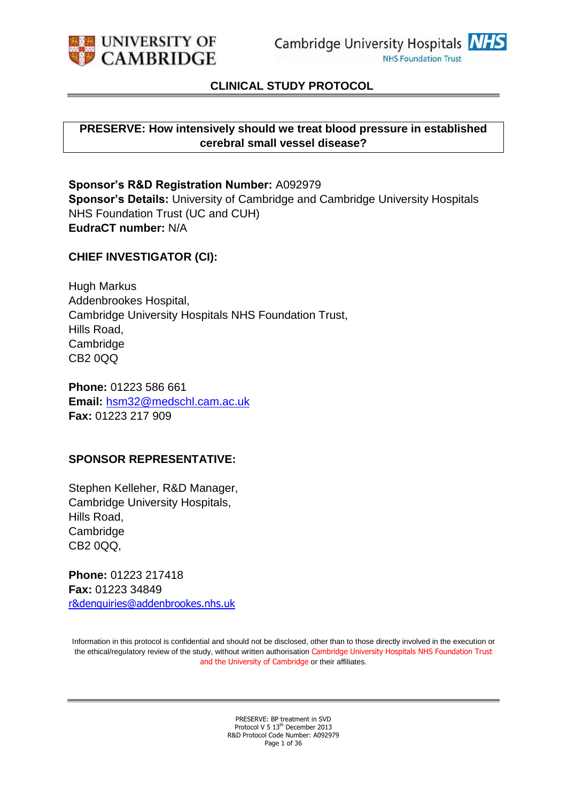

### **CLINICAL STUDY PROTOCOL**

#### **PRESERVE: How intensively should we treat blood pressure in established cerebral small vessel disease?**

**Sponsor's R&D Registration Number:** A092979 **Sponsor's Details:** University of Cambridge and Cambridge University Hospitals NHS Foundation Trust (UC and CUH) **EudraCT number:** N/A

#### **CHIEF INVESTIGATOR (CI):**

Hugh Markus Addenbrookes Hospital, Cambridge University Hospitals NHS Foundation Trust, Hills Road, Cambridge CB2 0QQ

**Phone:** 01223 586 661 **Email:** [hsm32@medschl.cam.ac.uk](mailto:hmarkus@sgul.ac.uk) **Fax:** 01223 217 909

#### **SPONSOR REPRESENTATIVE:**

Stephen Kelleher, R&D Manager, Cambridge University Hospitals, Hills Road, Cambridge CB2 0QQ,

**Phone:** 01223 217418 **Fax:** 01223 34849 [r&denquiries@addenbrookes.nhs.uk](mailto:randdenquiries@addenbrookes.nhs.uk)

Information in this protocol is confidential and should not be disclosed, other than to those directly involved in the execution or the ethical/regulatory review of the study, without written authorisation Cambridge University Hospitals NHS Foundation Trust and the University of Cambridge or their affiliates.

> PRESERVE: BP treatment in SVD Protocol V 5 13<sup>th</sup> December 2013 R&D Protocol Code Number: A092979 Page 1 of 36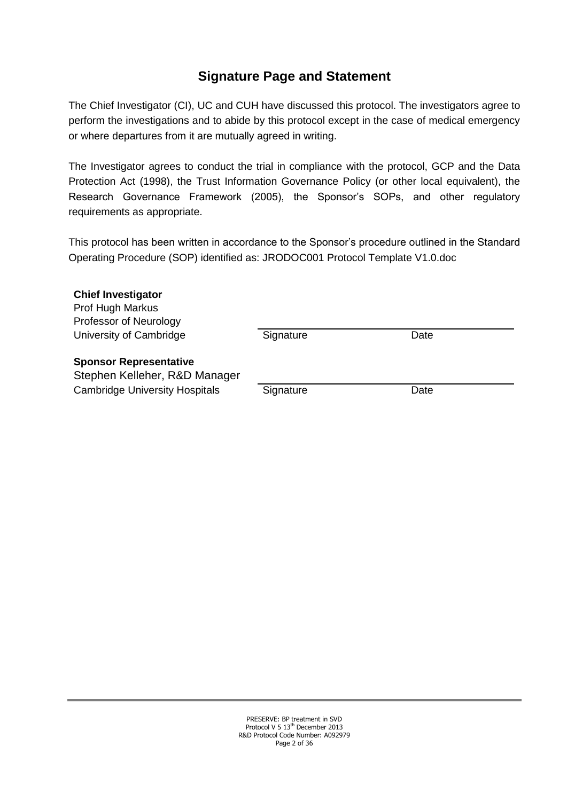# **Signature Page and Statement**

The Chief Investigator (CI), UC and CUH have discussed this protocol. The investigators agree to perform the investigations and to abide by this protocol except in the case of medical emergency or where departures from it are mutually agreed in writing.

The Investigator agrees to conduct the trial in compliance with the protocol, GCP and the Data Protection Act (1998), the Trust Information Governance Policy (or other local equivalent), the Research Governance Framework (2005), the Sponsor's SOPs, and other regulatory requirements as appropriate.

This protocol has been written in accordance to the Sponsor's procedure outlined in the Standard Operating Procedure (SOP) identified as: JRODOC001 Protocol Template V1.0.doc

| <b>Chief Investigator</b>             |           |      |  |
|---------------------------------------|-----------|------|--|
| Prof Hugh Markus                      |           |      |  |
| Professor of Neurology                |           |      |  |
| University of Cambridge               | Signature | Date |  |
| <b>Sponsor Representative</b>         |           |      |  |
| Stephen Kelleher, R&D Manager         |           |      |  |
| <b>Cambridge University Hospitals</b> | Signature | Date |  |

PRESERVE: BP treatment in SVD Protocol V 5 13<sup>th</sup> December 2013 R&D Protocol Code Number: A092979 Page 2 of 36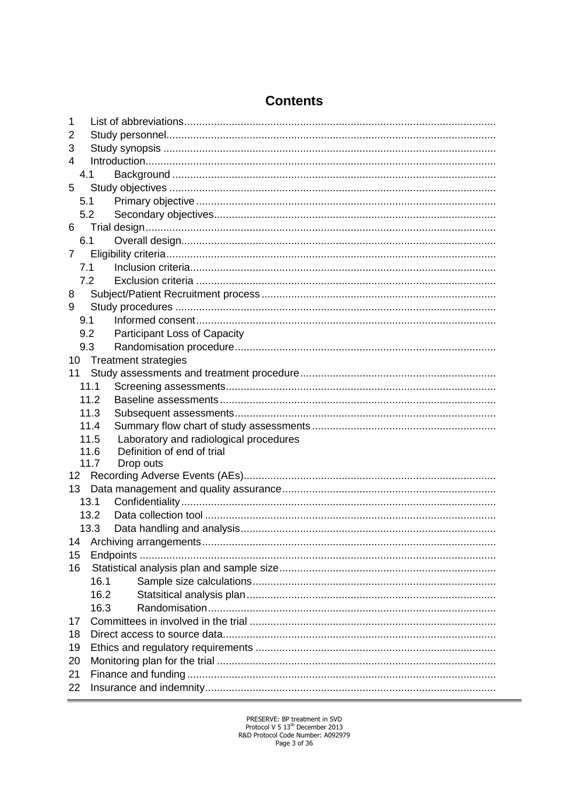| 1               |                                                |
|-----------------|------------------------------------------------|
| 2               |                                                |
| 3               |                                                |
| 4               |                                                |
| 4.1             |                                                |
| 5               |                                                |
| 5.1             |                                                |
| 5.2             |                                                |
| 6               |                                                |
| 6.1             |                                                |
| $\overline{7}$  |                                                |
| 7.1             |                                                |
| 7.2             |                                                |
| 8               |                                                |
| 9               |                                                |
| 9.1             |                                                |
| 9.2             | Participant Loss of Capacity                   |
| 9.3             |                                                |
| 10              | <b>Treatment strategies</b>                    |
| 11              |                                                |
|                 | 11.1                                           |
|                 | 11.2                                           |
|                 | 11.3                                           |
|                 | 11.4                                           |
|                 | Laboratory and radiological procedures<br>11.5 |
|                 | Definition of end of trial<br>11.6             |
|                 | 11.7<br>Drop outs                              |
| 12 <sup>2</sup> |                                                |
| 13              |                                                |
|                 | 13.1                                           |
|                 | 13.2                                           |
|                 | 13.3                                           |
| 14              |                                                |
| 15              |                                                |
| 16              |                                                |
|                 | 16.1                                           |
|                 | 16.2                                           |
|                 | 16.3                                           |
| 17              |                                                |
| 18              |                                                |
| 19              |                                                |
| 20              |                                                |
| 21              |                                                |
| 22              |                                                |

# **Contents**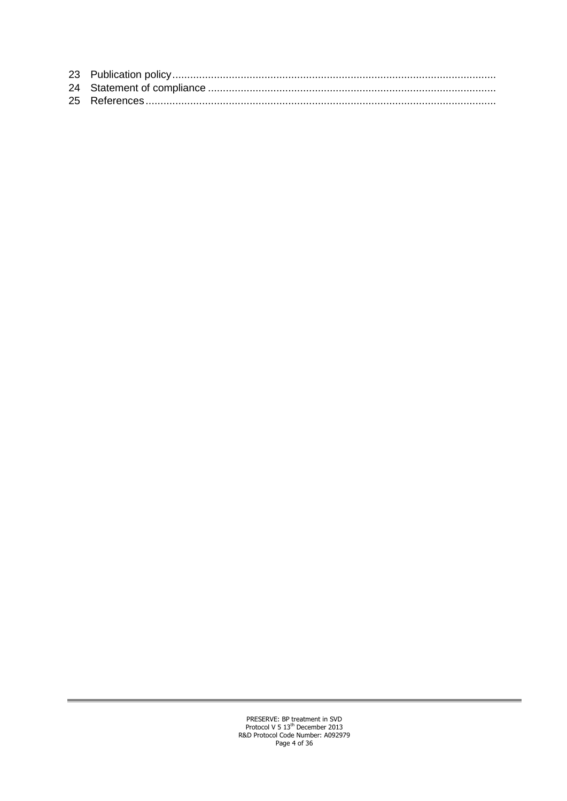<span id="page-3-0"></span>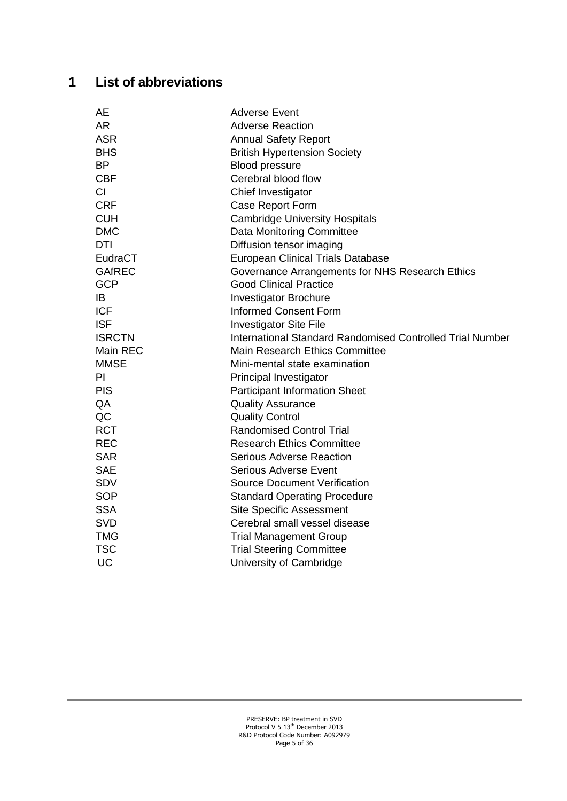# **1 List of abbreviations**

| AE            | <b>Adverse Event</b>                                      |
|---------------|-----------------------------------------------------------|
| AR            | <b>Adverse Reaction</b>                                   |
| <b>ASR</b>    | <b>Annual Safety Report</b>                               |
| <b>BHS</b>    | <b>British Hypertension Society</b>                       |
| <b>BP</b>     | <b>Blood pressure</b>                                     |
| <b>CBF</b>    | Cerebral blood flow                                       |
| CI            | Chief Investigator                                        |
| <b>CRF</b>    | Case Report Form                                          |
| <b>CUH</b>    | <b>Cambridge University Hospitals</b>                     |
| <b>DMC</b>    | <b>Data Monitoring Committee</b>                          |
| DTI           | Diffusion tensor imaging                                  |
| EudraCT       | <b>European Clinical Trials Database</b>                  |
| <b>GAfREC</b> | Governance Arrangements for NHS Research Ethics           |
| <b>GCP</b>    | <b>Good Clinical Practice</b>                             |
| IB            | <b>Investigator Brochure</b>                              |
| <b>ICF</b>    | <b>Informed Consent Form</b>                              |
| <b>ISF</b>    | <b>Investigator Site File</b>                             |
| <b>ISRCTN</b> | International Standard Randomised Controlled Trial Number |
| Main REC      | <b>Main Research Ethics Committee</b>                     |
| <b>MMSE</b>   | Mini-mental state examination                             |
| PI            | Principal Investigator                                    |
| <b>PIS</b>    | <b>Participant Information Sheet</b>                      |
| QA            | <b>Quality Assurance</b>                                  |
| QC            | <b>Quality Control</b>                                    |
| <b>RCT</b>    | <b>Randomised Control Trial</b>                           |
| <b>REC</b>    | <b>Research Ethics Committee</b>                          |
| <b>SAR</b>    | <b>Serious Adverse Reaction</b>                           |
| <b>SAE</b>    | <b>Serious Adverse Event</b>                              |
| <b>SDV</b>    | <b>Source Document Verification</b>                       |
| <b>SOP</b>    | <b>Standard Operating Procedure</b>                       |
| <b>SSA</b>    | <b>Site Specific Assessment</b>                           |
| <b>SVD</b>    | Cerebral small vessel disease                             |
| <b>TMG</b>    | <b>Trial Management Group</b>                             |
| <b>TSC</b>    | <b>Trial Steering Committee</b>                           |
| <b>UC</b>     | University of Cambridge                                   |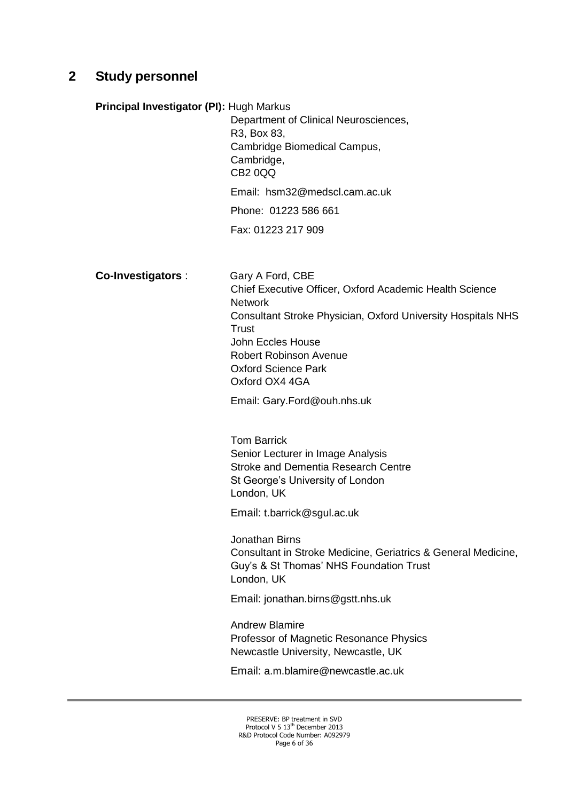## <span id="page-5-0"></span>**2 Study personnel**

**Principal Investigator (PI):** Hugh Markus

Department of Clinical Neurosciences, R3, Box 83, Cambridge Biomedical Campus, Cambridge, CB2 0QQ Email: hsm32@medscl.cam.ac.uk

Phone: 01223 586 661

Fax: 01223 217 909

#### **Co-Investigators** : Gary A Ford, CBE

Chief Executive Officer, Oxford Academic Health Science Network Consultant Stroke Physician, Oxford University Hospitals NHS **Trust** John Eccles House Robert Robinson Avenue Oxford Science Park Oxford OX4 4GA

Email: Gary.Ford@ouh.nhs.uk

Tom Barrick Senior Lecturer in Image Analysis Stroke and Dementia Research Centre St George's University of London London, UK

Email: t.barrick@sgul.ac.uk

Jonathan Birns Consultant in Stroke Medicine, Geriatrics & General Medicine, Guy's & St Thomas' NHS Foundation Trust London, UK

Email: jonathan.birns@gstt.nhs.uk

Andrew Blamire Professor of Magnetic Resonance Physics Newcastle University, Newcastle, UK

Email: a.m.blamire@newcastle.ac.uk

PRESERVE: BP treatment in SVD Protocol V 5 13<sup>th</sup> December 2013 R&D Protocol Code Number: A092979 Page 6 of 36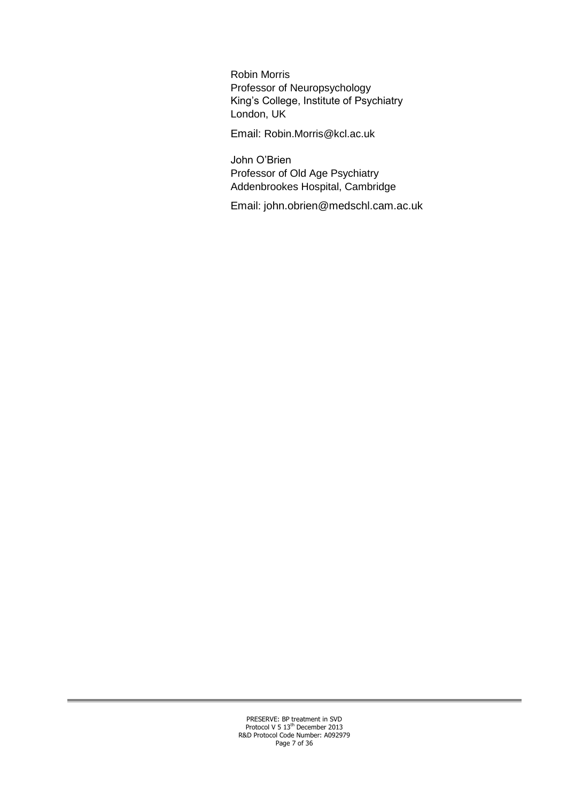Robin Morris Professor of Neuropsychology King's College, Institute of Psychiatry London, UK

Email: Robin.Morris@kcl.ac.uk

John O'Brien Professor of Old Age Psychiatry Addenbrookes Hospital, Cambridge

Email: john.obrien@medschl.cam.ac.uk

PRESERVE: BP treatment in SVD<br>Protocol V 5 13<sup>th</sup> December 2013 R&D Protocol Code Number: A092979 Page 7 of 36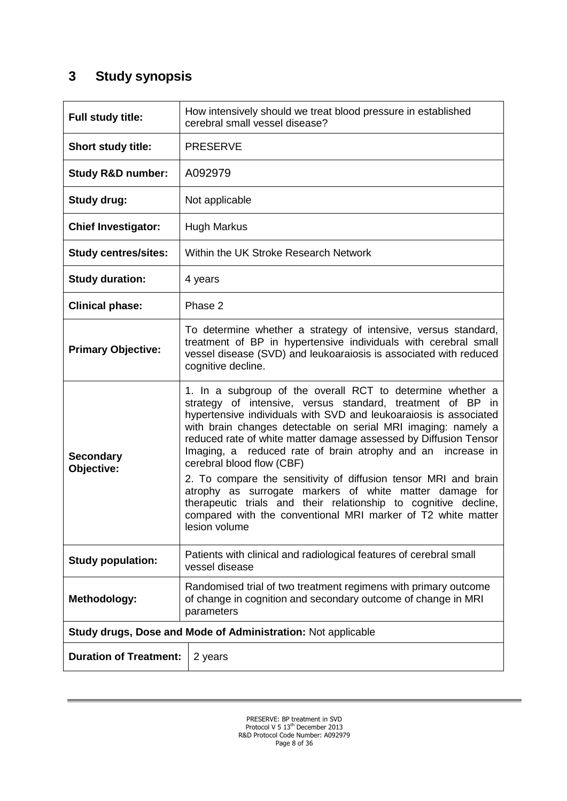# <span id="page-7-0"></span>**3 Study synopsis**

| Full study title:              | How intensively should we treat blood pressure in established<br>cerebral small vessel disease?                                                                                                                                                                                                                                                                                                                                                                                                                                                                                                                                                                                                                  |  |  |  |
|--------------------------------|------------------------------------------------------------------------------------------------------------------------------------------------------------------------------------------------------------------------------------------------------------------------------------------------------------------------------------------------------------------------------------------------------------------------------------------------------------------------------------------------------------------------------------------------------------------------------------------------------------------------------------------------------------------------------------------------------------------|--|--|--|
| Short study title:             | <b>PRESERVE</b>                                                                                                                                                                                                                                                                                                                                                                                                                                                                                                                                                                                                                                                                                                  |  |  |  |
| <b>Study R&amp;D number:</b>   | A092979                                                                                                                                                                                                                                                                                                                                                                                                                                                                                                                                                                                                                                                                                                          |  |  |  |
| <b>Study drug:</b>             | Not applicable                                                                                                                                                                                                                                                                                                                                                                                                                                                                                                                                                                                                                                                                                                   |  |  |  |
| <b>Chief Investigator:</b>     | <b>Hugh Markus</b>                                                                                                                                                                                                                                                                                                                                                                                                                                                                                                                                                                                                                                                                                               |  |  |  |
| <b>Study centres/sites:</b>    | Within the UK Stroke Research Network                                                                                                                                                                                                                                                                                                                                                                                                                                                                                                                                                                                                                                                                            |  |  |  |
| <b>Study duration:</b>         | 4 years                                                                                                                                                                                                                                                                                                                                                                                                                                                                                                                                                                                                                                                                                                          |  |  |  |
| <b>Clinical phase:</b>         | Phase 2                                                                                                                                                                                                                                                                                                                                                                                                                                                                                                                                                                                                                                                                                                          |  |  |  |
| <b>Primary Objective:</b>      | To determine whether a strategy of intensive, versus standard,<br>treatment of BP in hypertensive individuals with cerebral small<br>vessel disease (SVD) and leukoaraiosis is associated with reduced<br>cognitive decline.                                                                                                                                                                                                                                                                                                                                                                                                                                                                                     |  |  |  |
| <b>Secondary</b><br>Objective: | 1. In a subgroup of the overall RCT to determine whether a<br>strategy of intensive, versus standard, treatment of BP in<br>hypertensive individuals with SVD and leukoaraiosis is associated<br>with brain changes detectable on serial MRI imaging: namely a<br>reduced rate of white matter damage assessed by Diffusion Tensor<br>Imaging, a reduced rate of brain atrophy and an increase in<br>cerebral blood flow (CBF)<br>2. To compare the sensitivity of diffusion tensor MRI and brain<br>atrophy as surrogate markers of white matter damage for<br>therapeutic trials and their relationship to cognitive decline,<br>compared with the conventional MRI marker of T2 white matter<br>lesion volume |  |  |  |
| <b>Study population:</b>       | Patients with clinical and radiological features of cerebral small<br>vessel disease                                                                                                                                                                                                                                                                                                                                                                                                                                                                                                                                                                                                                             |  |  |  |
| <b>Methodology:</b>            | Randomised trial of two treatment regimens with primary outcome<br>of change in cognition and secondary outcome of change in MRI<br>parameters                                                                                                                                                                                                                                                                                                                                                                                                                                                                                                                                                                   |  |  |  |
|                                | Study drugs, Dose and Mode of Administration: Not applicable                                                                                                                                                                                                                                                                                                                                                                                                                                                                                                                                                                                                                                                     |  |  |  |
| <b>Duration of Treatment:</b>  | 2 years                                                                                                                                                                                                                                                                                                                                                                                                                                                                                                                                                                                                                                                                                                          |  |  |  |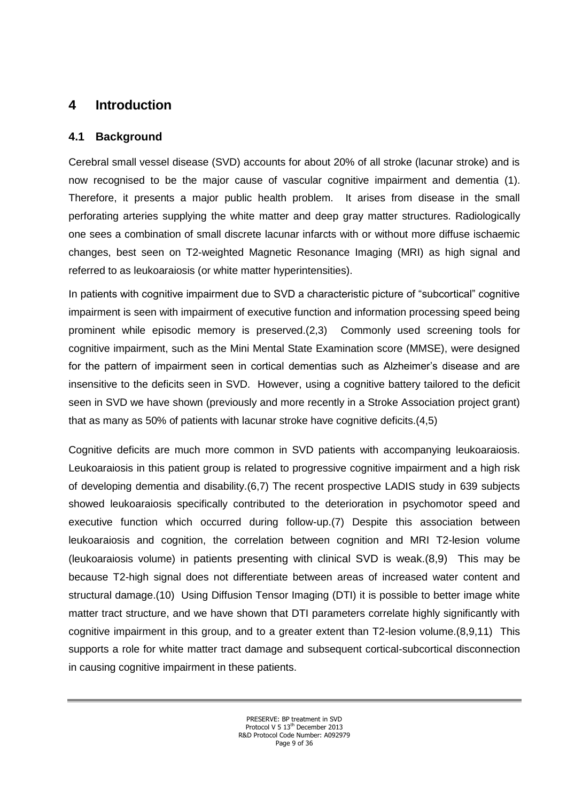# <span id="page-8-0"></span>**4 Introduction**

## <span id="page-8-1"></span>**4.1 Background**

Cerebral small vessel disease (SVD) accounts for about 20% of all stroke (lacunar stroke) and is now recognised to be the major cause of vascular cognitive impairment and dementia (1). Therefore, it presents a major public health problem. It arises from disease in the small perforating arteries supplying the white matter and deep gray matter structures. Radiologically one sees a combination of small discrete lacunar infarcts with or without more diffuse ischaemic changes, best seen on T2-weighted Magnetic Resonance Imaging (MRI) as high signal and referred to as leukoaraiosis (or white matter hyperintensities).

In patients with cognitive impairment due to SVD a characteristic picture of "subcortical" cognitive impairment is seen with impairment of executive function and information processing speed being prominent while episodic memory is preserved.(2,3) Commonly used screening tools for cognitive impairment, such as the Mini Mental State Examination score (MMSE), were designed for the pattern of impairment seen in cortical dementias such as Alzheimer's disease and are insensitive to the deficits seen in SVD. However, using a cognitive battery tailored to the deficit seen in SVD we have shown (previously and more recently in a Stroke Association project grant) that as many as 50% of patients with lacunar stroke have cognitive deficits.(4,5)

Cognitive deficits are much more common in SVD patients with accompanying leukoaraiosis. Leukoaraiosis in this patient group is related to progressive cognitive impairment and a high risk of developing dementia and disability.(6,7) The recent prospective LADIS study in 639 subjects showed leukoaraiosis specifically contributed to the deterioration in psychomotor speed and executive function which occurred during follow-up.(7) Despite this association between leukoaraiosis and cognition, the correlation between cognition and MRI T2-lesion volume (leukoaraiosis volume) in patients presenting with clinical SVD is weak.(8,9) This may be because T2-high signal does not differentiate between areas of increased water content and structural damage.(10) Using Diffusion Tensor Imaging (DTI) it is possible to better image white matter tract structure, and we have shown that DTI parameters correlate highly significantly with cognitive impairment in this group, and to a greater extent than T2-lesion volume.(8,9,11) This supports a role for white matter tract damage and subsequent cortical-subcortical disconnection in causing cognitive impairment in these patients.

> PRESERVE: BP treatment in SVD Protocol V 5 13<sup>th</sup> December 2013 R&D Protocol Code Number: A092979 Page 9 of 36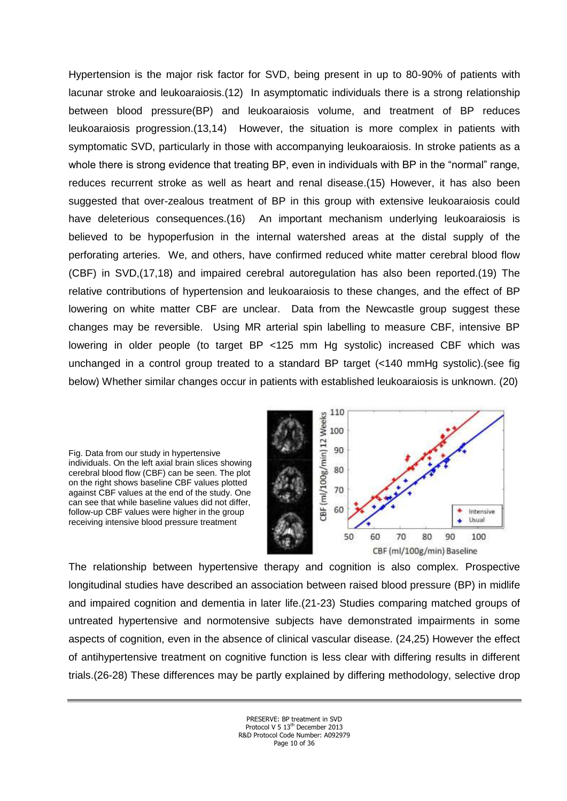Hypertension is the major risk factor for SVD, being present in up to 80-90% of patients with lacunar stroke and leukoaraiosis.(12) In asymptomatic individuals there is a strong relationship between blood pressure(BP) and leukoaraiosis volume, and treatment of BP reduces leukoaraiosis progression.(13,14) However, the situation is more complex in patients with symptomatic SVD, particularly in those with accompanying leukoaraiosis. In stroke patients as a whole there is strong evidence that treating BP, even in individuals with BP in the "normal" range, reduces recurrent stroke as well as heart and renal disease.(15) However, it has also been suggested that over-zealous treatment of BP in this group with extensive leukoaraiosis could have deleterious consequences.(16) An important mechanism underlying leukoaraiosis is believed to be hypoperfusion in the internal watershed areas at the distal supply of the perforating arteries. We, and others, have confirmed reduced white matter cerebral blood flow (CBF) in SVD,(17,18) and impaired cerebral autoregulation has also been reported.(19) The relative contributions of hypertension and leukoaraiosis to these changes, and the effect of BP lowering on white matter CBF are unclear. Data from the Newcastle group suggest these changes may be reversible. Using MR arterial spin labelling to measure CBF, intensive BP lowering in older people (to target BP <125 mm Hg systolic) increased CBF which was unchanged in a control group treated to a standard BP target (<140 mmHg systolic).(see fig below) Whether similar changes occur in patients with established leukoaraiosis is unknown. (20)

> 110 CBF (ml/100g/min) 12 Weeks 100 90 80 70 60 Intensive Usual 80 90 100 50 60 70 CBF (ml/100g/min) Baseline

The relationship between hypertensive therapy and cognition is also complex. Prospective longitudinal studies have described an association between raised blood pressure (BP) in midlife and impaired cognition and dementia in later life.(21-23) Studies comparing matched groups of untreated hypertensive and normotensive subjects have demonstrated impairments in some aspects of cognition, even in the absence of clinical vascular disease. (24,25) However the effect of antihypertensive treatment on cognitive function is less clear with differing results in different trials.(26-28) These differences may be partly explained by differing methodology, selective drop

Fig. Data from our study in hypertensive individuals. On the left axial brain slices showing cerebral blood flow (CBF) can be seen. The plot on the right shows baseline CBF values plotted against CBF values at the end of the study. One can see that while baseline values did not differ, follow-up CBF values were higher in the group receiving intensive blood pressure treatment

> PRESERVE: BP treatment in SVD Protocol V 5 13<sup>th</sup> December 2013 R&D Protocol Code Number: A092979 Page 10 of 36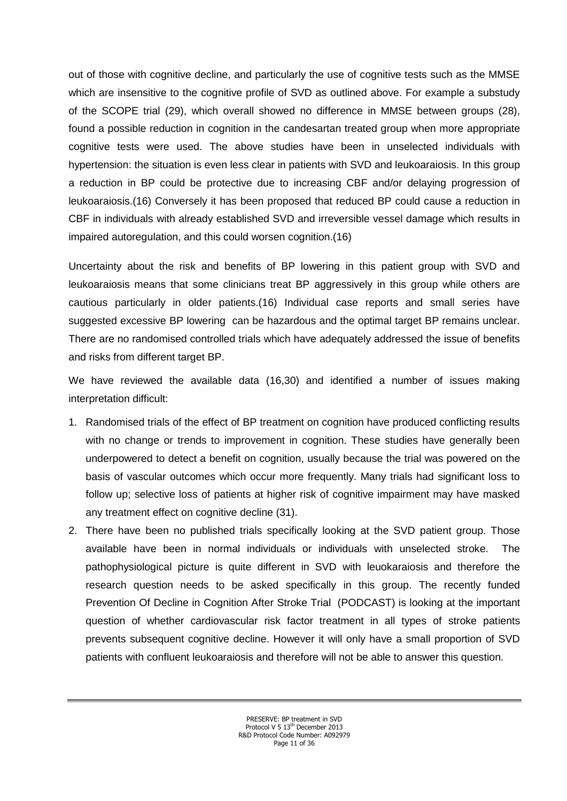out of those with cognitive decline, and particularly the use of cognitive tests such as the MMSE which are insensitive to the cognitive profile of SVD as outlined above. For example a substudy of the SCOPE trial (29), which overall showed no difference in MMSE between groups (28), found a possible reduction in cognition in the candesartan treated group when more appropriate cognitive tests were used. The above studies have been in unselected individuals with hypertension: the situation is even less clear in patients with SVD and leukoaraiosis. In this group a reduction in BP could be protective due to increasing CBF and/or delaying progression of leukoaraiosis.(16) Conversely it has been proposed that reduced BP could cause a reduction in CBF in individuals with already established SVD and irreversible vessel damage which results in impaired autoregulation, and this could worsen cognition. (16)

Uncertainty about the risk and benefits of BP lowering in this patient group with SVD and leukoaraiosis means that some clinicians treat BP aggressively in this group while others are cautious particularly in older patients.(16) Individual case reports and small series have suggested excessive BP lowering can be hazardous and the optimal target BP remains unclear. There are no randomised controlled trials which have adequately addressed the issue of benefits and risks from different target BP.

We have reviewed the available data (16,30) and identified a number of issues making interpretation difficult:

- 1. Randomised trials of the effect of BP treatment on cognition have produced conflicting results with no change or trends to improvement in cognition. These studies have generally been underpowered to detect a benefit on cognition, usually because the trial was powered on the basis of vascular outcomes which occur more frequently. Many trials had significant loss to follow up; selective loss of patients at higher risk of cognitive impairment may have masked any treatment effect on cognitive decline (31).
- 2. There have been no published trials specifically looking at the SVD patient group. Those available have been in normal individuals or individuals with unselected stroke. The pathophysiological picture is quite different in SVD with leuokaraiosis and therefore the research question needs to be asked specifically in this group. The recently funded Prevention Of Decline in Cognition After Stroke Trial (PODCAST) is looking at the important question of whether cardiovascular risk factor treatment in all types of stroke patients prevents subsequent cognitive decline. However it will only have a small proportion of SVD patients with confluent leukoaraiosis and therefore will not be able to answer this question.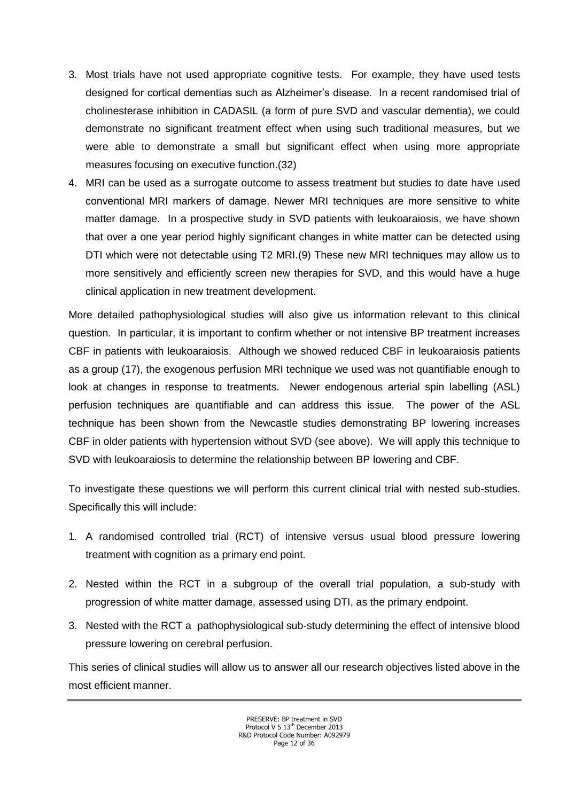- 3. Most trials have not used appropriate cognitive tests. For example, they have used tests designed for cortical dementias such as Alzheimer's disease. In a recent randomised trial of cholinesterase inhibition in CADASIL (a form of pure SVD and vascular dementia), we could demonstrate no significant treatment effect when using such traditional measures, but we were able to demonstrate a small but significant effect when using more appropriate measures focusing on executive function.(32)
- 4. MRI can be used as a surrogate outcome to assess treatment but studies to date have used conventional MRI markers of damage. Newer MRI techniques are more sensitive to white matter damage. In a prospective study in SVD patients with leukoaraiosis, we have shown that over a one year period highly significant changes in white matter can be detected using DTI which were not detectable using T2 MRI.(9) These new MRI techniques may allow us to more sensitively and efficiently screen new therapies for SVD, and this would have a huge clinical application in new treatment development.

More detailed pathophysiological studies will also give us information relevant to this clinical question. In particular, it is important to confirm whether or not intensive BP treatment increases CBF in patients with leukoaraiosis. Although we showed reduced CBF in leukoaraiosis patients as a group (17), the exogenous perfusion MRI technique we used was not quantifiable enough to look at changes in response to treatments. Newer endogenous arterial spin labelling (ASL) perfusion techniques are quantifiable and can address this issue. The power of the ASL technique has been shown from the Newcastle studies demonstrating BP lowering increases CBF in older patients with hypertension without SVD (see above). We will apply this technique to SVD with leukoaraiosis to determine the relationship between BP lowering and CBF.

To investigate these questions we will perform this current clinical trial with nested sub-studies. Specifically this will include:

- 1. A randomised controlled trial (RCT) of intensive versus usual blood pressure lowering treatment with cognition as a primary end point.
- 2. Nested within the RCT in a subgroup of the overall trial population, a sub-study with progression of white matter damage, assessed using DTI, as the primary endpoint.
- 3. Nested with the RCT a pathophysiological sub-study determining the effect of intensive blood pressure lowering on cerebral perfusion.

This series of clinical studies will allow us to answer all our research objectives listed above in the most efficient manner.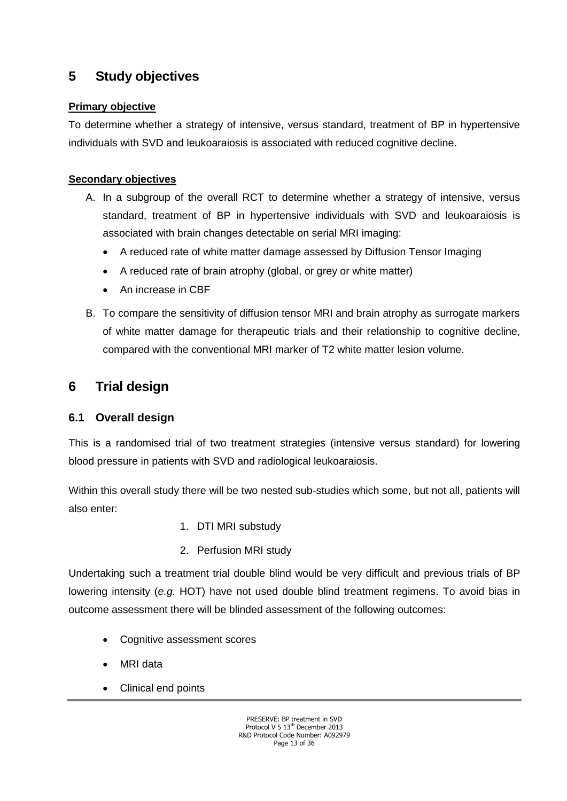# <span id="page-12-0"></span>**5 Study objectives**

## **Primary objective**

To determine whether a strategy of intensive, versus standard, treatment of BP in hypertensive individuals with SVD and leukoaraiosis is associated with reduced cognitive decline.

## **Secondary objectives**

- A. In a subgroup of the overall RCT to determine whether a strategy of intensive, versus standard, treatment of BP in hypertensive individuals with SVD and leukoaraiosis is associated with brain changes detectable on serial MRI imaging:
	- A reduced rate of white matter damage assessed by Diffusion Tensor Imaging
	- A reduced rate of brain atrophy (global, or grey or white matter)
	- An increase in CBF
- B. To compare the sensitivity of diffusion tensor MRI and brain atrophy as surrogate markers of white matter damage for therapeutic trials and their relationship to cognitive decline, compared with the conventional MRI marker of T2 white matter lesion volume.

# <span id="page-12-1"></span>**6 Trial design**

## <span id="page-12-2"></span>**6.1 Overall design**

This is a randomised trial of two treatment strategies (intensive versus standard) for lowering blood pressure in patients with SVD and radiological leukoaraiosis.

Within this overall study there will be two nested sub-studies which some, but not all, patients will also enter:

- 1. DTI MRI substudy
- 2. Perfusion MRI study

Undertaking such a treatment trial double blind would be very difficult and previous trials of BP lowering intensity (*e.g.* HOT) have not used double blind treatment regimens. To avoid bias in outcome assessment there will be blinded assessment of the following outcomes:

- Cognitive assessment scores
- MRI data
- Clinical end points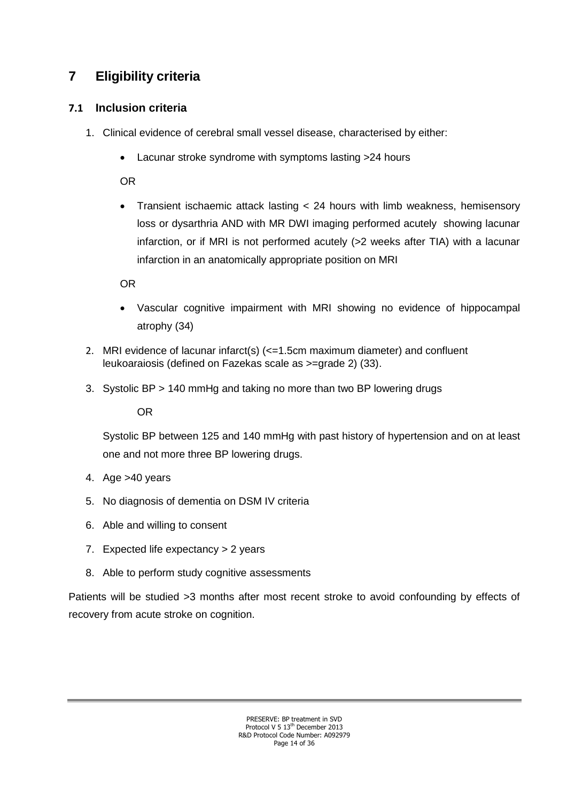# <span id="page-13-0"></span>**7 Eligibility criteria**

## <span id="page-13-1"></span>**7.1 Inclusion criteria**

- 1. Clinical evidence of cerebral small vessel disease, characterised by either:
	- Lacunar stroke syndrome with symptoms lasting >24 hours

OR

 Transient ischaemic attack lasting < 24 hours with limb weakness, hemisensory loss or dysarthria AND with MR DWI imaging performed acutely showing lacunar infarction, or if MRI is not performed acutely (>2 weeks after TIA) with a lacunar infarction in an anatomically appropriate position on MRI

OR

- Vascular cognitive impairment with MRI showing no evidence of hippocampal atrophy (34)
- 2. MRI evidence of lacunar infarct(s) (<=1.5cm maximum diameter) and confluent leukoaraiosis (defined on Fazekas scale as >=grade 2) (33).
- 3. Systolic BP > 140 mmHg and taking no more than two BP lowering drugs

OR

Systolic BP between 125 and 140 mmHg with past history of hypertension and on at least one and not more three BP lowering drugs.

- 4. Age >40 years
- 5. No diagnosis of dementia on DSM IV criteria
- 6. Able and willing to consent
- 7. Expected life expectancy > 2 years
- 8. Able to perform study cognitive assessments

Patients will be studied >3 months after most recent stroke to avoid confounding by effects of recovery from acute stroke on cognition.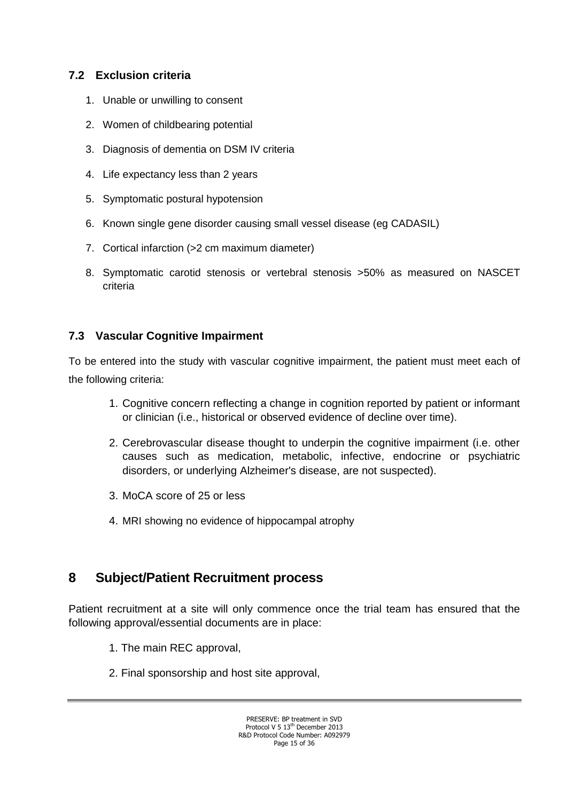## <span id="page-14-0"></span>**7.2 Exclusion criteria**

- 1. Unable or unwilling to consent
- 2. Women of childbearing potential
- 3. Diagnosis of dementia on DSM IV criteria
- 4. Life expectancy less than 2 years
- 5. Symptomatic postural hypotension
- 6. Known single gene disorder causing small vessel disease (eg CADASIL)
- 7. Cortical infarction (>2 cm maximum diameter)
- 8. Symptomatic carotid stenosis or vertebral stenosis >50% as measured on NASCET criteria

## **7.3 Vascular Cognitive Impairment**

To be entered into the study with vascular cognitive impairment, the patient must meet each of the following criteria:

- 1. Cognitive concern reflecting a change in cognition reported by patient or informant or clinician (i.e., historical or observed evidence of decline over time).
- 2. Cerebrovascular disease thought to underpin the cognitive impairment (i.e. other causes such as medication, metabolic, infective, endocrine or psychiatric disorders, or underlying Alzheimer's disease, are not suspected).
- 3. MoCA score of 25 or less
- 4. MRI showing no evidence of hippocampal atrophy

# <span id="page-14-1"></span>**8 Subject/Patient Recruitment process**

Patient recruitment at a site will only commence once the trial team has ensured that the following approval/essential documents are in place:

- 1. The main REC approval,
- 2. Final sponsorship and host site approval,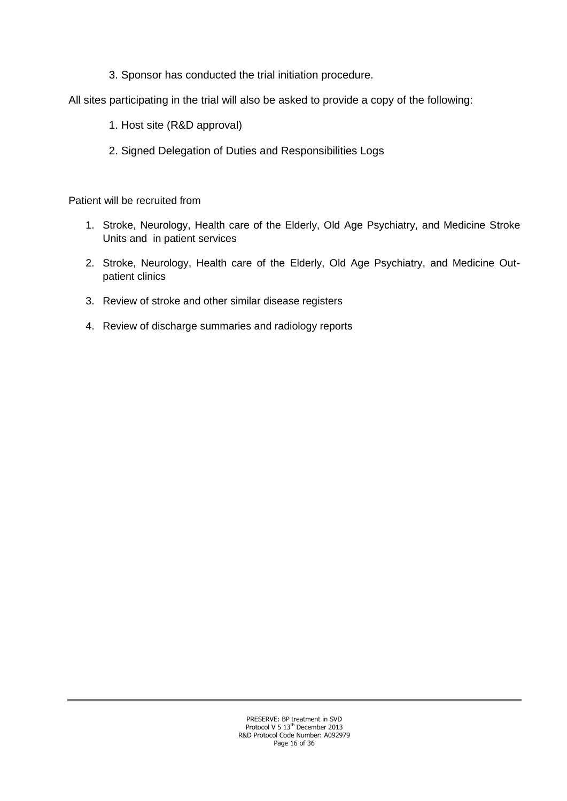3. Sponsor has conducted the trial initiation procedure.

All sites participating in the trial will also be asked to provide a copy of the following:

- 1. Host site (R&D approval)
- 2. Signed Delegation of Duties and Responsibilities Logs

Patient will be recruited from

- 1. Stroke, Neurology, Health care of the Elderly, Old Age Psychiatry, and Medicine Stroke Units and in patient services
- 2. Stroke, Neurology, Health care of the Elderly, Old Age Psychiatry, and Medicine Outpatient clinics
- 3. Review of stroke and other similar disease registers
- <span id="page-15-0"></span>4. Review of discharge summaries and radiology reports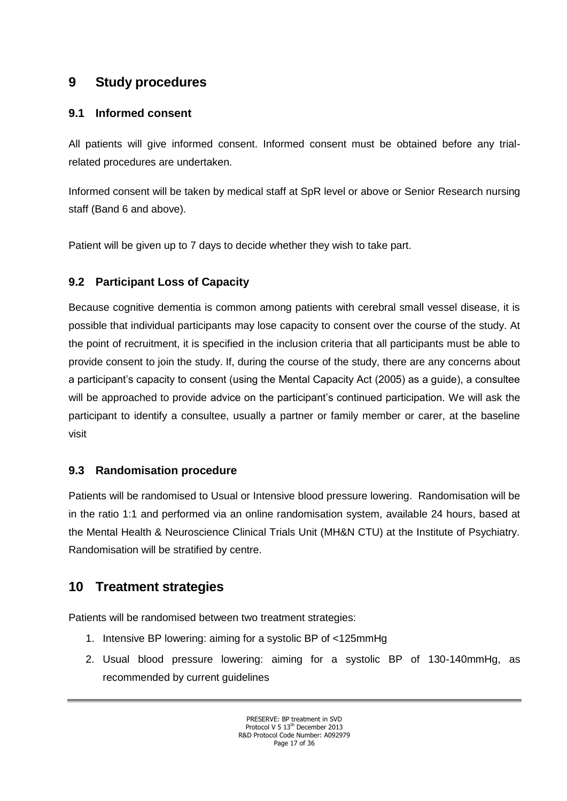# **9 Study procedures**

## <span id="page-16-0"></span>**9.1 Informed consent**

All patients will give informed consent. Informed consent must be obtained before any trialrelated procedures are undertaken.

Informed consent will be taken by medical staff at SpR level or above or Senior Research nursing staff (Band 6 and above).

Patient will be given up to 7 days to decide whether they wish to take part.

## **9.2 Participant Loss of Capacity**

Because cognitive dementia is common among patients with cerebral small vessel disease, it is possible that individual participants may lose capacity to consent over the course of the study. At the point of recruitment, it is specified in the inclusion criteria that all participants must be able to provide consent to join the study. If, during the course of the study, there are any concerns about a participant's capacity to consent (using the Mental Capacity Act (2005) as a guide), a consultee will be approached to provide advice on the participant's continued participation. We will ask the participant to identify a consultee, usually a partner or family member or carer, at the baseline visit

## <span id="page-16-1"></span>**9.3 Randomisation procedure**

Patients will be randomised to Usual or Intensive blood pressure lowering. Randomisation will be in the ratio 1:1 and performed via an online randomisation system, available 24 hours, based at the Mental Health & Neuroscience Clinical Trials Unit (MH&N CTU) at the Institute of Psychiatry. Randomisation will be stratified by centre.

# <span id="page-16-2"></span>**10 Treatment strategies**

Patients will be randomised between two treatment strategies:

- 1. Intensive BP lowering: aiming for a systolic BP of <125mmHg
- 2. Usual blood pressure lowering: aiming for a systolic BP of 130-140mmHg, as recommended by current guidelines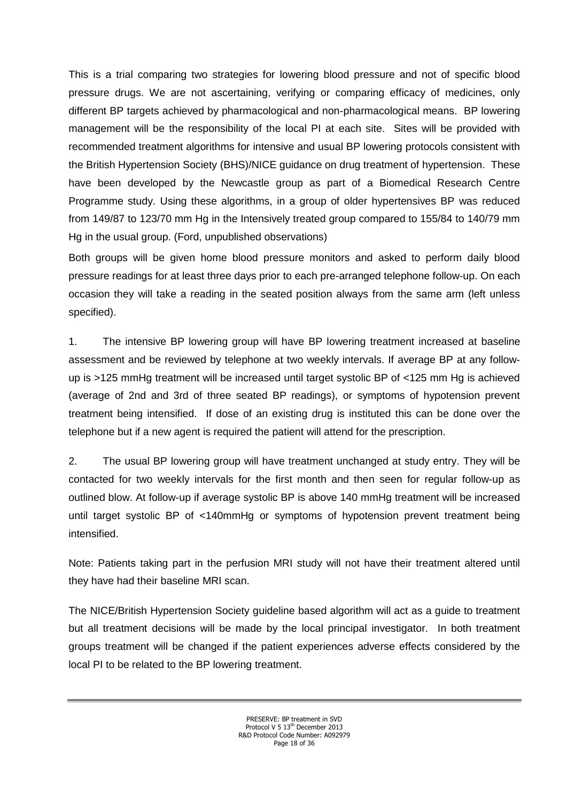This is a trial comparing two strategies for lowering blood pressure and not of specific blood pressure drugs. We are not ascertaining, verifying or comparing efficacy of medicines, only different BP targets achieved by pharmacological and non-pharmacological means. BP lowering management will be the responsibility of the local PI at each site. Sites will be provided with recommended treatment algorithms for intensive and usual BP lowering protocols consistent with the British Hypertension Society (BHS)/NICE guidance on drug treatment of hypertension. These have been developed by the Newcastle group as part of a Biomedical Research Centre Programme study. Using these algorithms, in a group of older hypertensives BP was reduced from 149/87 to 123/70 mm Hg in the Intensively treated group compared to 155/84 to 140/79 mm Hg in the usual group. (Ford, unpublished observations)

Both groups will be given home blood pressure monitors and asked to perform daily blood pressure readings for at least three days prior to each pre-arranged telephone follow-up. On each occasion they will take a reading in the seated position always from the same arm (left unless specified).

1. The intensive BP lowering group will have BP lowering treatment increased at baseline assessment and be reviewed by telephone at two weekly intervals. If average BP at any followup is >125 mmHg treatment will be increased until target systolic BP of <125 mm Hg is achieved (average of 2nd and 3rd of three seated BP readings), or symptoms of hypotension prevent treatment being intensified. If dose of an existing drug is instituted this can be done over the telephone but if a new agent is required the patient will attend for the prescription.

2. The usual BP lowering group will have treatment unchanged at study entry. They will be contacted for two weekly intervals for the first month and then seen for regular follow-up as outlined blow. At follow-up if average systolic BP is above 140 mmHg treatment will be increased until target systolic BP of <140mmHg or symptoms of hypotension prevent treatment being intensified.

Note: Patients taking part in the perfusion MRI study will not have their treatment altered until they have had their baseline MRI scan.

The NICE/British Hypertension Society guideline based algorithm will act as a guide to treatment but all treatment decisions will be made by the local principal investigator. In both treatment groups treatment will be changed if the patient experiences adverse effects considered by the local PI to be related to the BP lowering treatment.

> PRESERVE: BP treatment in SVD Protocol V 5 13<sup>th</sup> December 2013 R&D Protocol Code Number: A092979 Page 18 of 36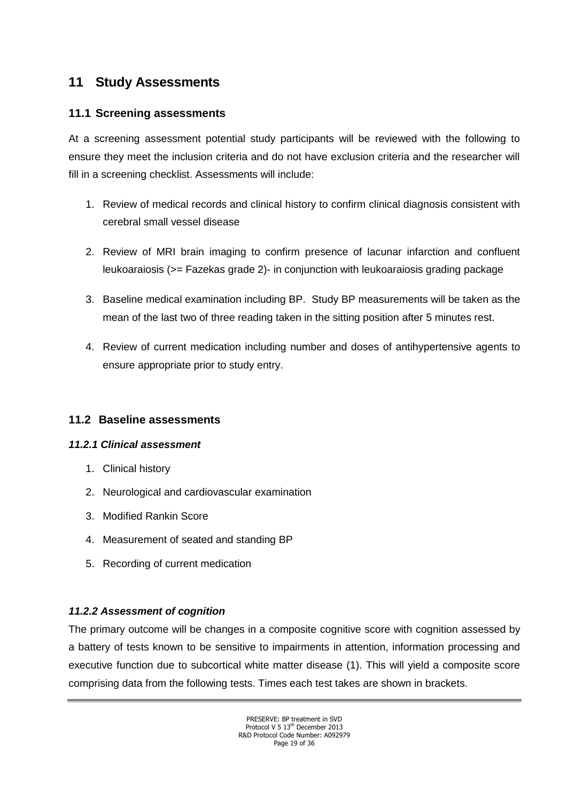# **11 Study Assessments**

## <span id="page-18-0"></span>**11.1 Screening assessments**

At a screening assessment potential study participants will be reviewed with the following to ensure they meet the inclusion criteria and do not have exclusion criteria and the researcher will fill in a screening checklist. Assessments will include:

- 1. Review of medical records and clinical history to confirm clinical diagnosis consistent with cerebral small vessel disease
- 2. Review of MRI brain imaging to confirm presence of lacunar infarction and confluent leukoaraiosis (>= Fazekas grade 2)- in conjunction with leukoaraiosis grading package
- 3. Baseline medical examination including BP. Study BP measurements will be taken as the mean of the last two of three reading taken in the sitting position after 5 minutes rest.
- 4. Review of current medication including number and doses of antihypertensive agents to ensure appropriate prior to study entry.

## <span id="page-18-1"></span>**11.2 Baseline assessments**

#### *11.2.1 Clinical assessment*

- 1. Clinical history
- 2. Neurological and cardiovascular examination
- 3. Modified Rankin Score
- 4. Measurement of seated and standing BP
- 5. Recording of current medication

## *11.2.2 Assessment of cognition*

The primary outcome will be changes in a composite cognitive score with cognition assessed by a battery of tests known to be sensitive to impairments in attention, information processing and executive function due to subcortical white matter disease (1). This will yield a composite score comprising data from the following tests. Times each test takes are shown in brackets.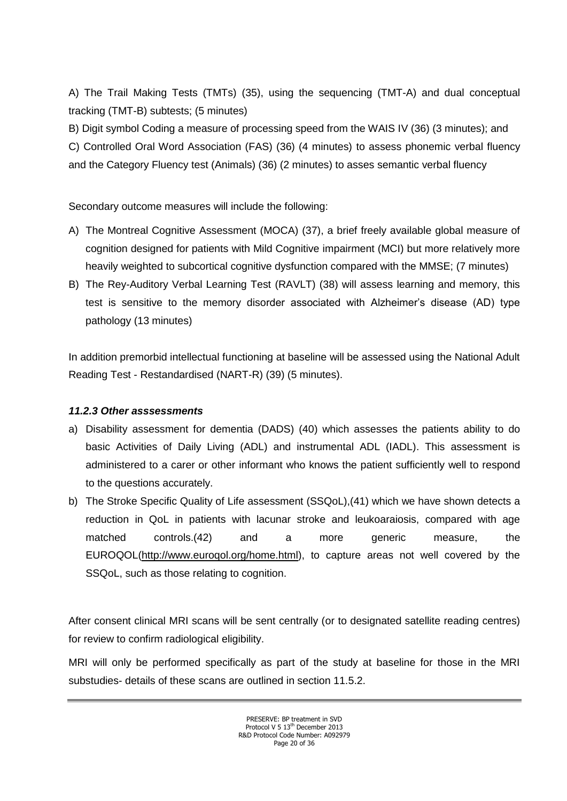A) The Trail Making Tests (TMTs) (35), using the sequencing (TMT-A) and dual conceptual tracking (TMT-B) subtests; (5 minutes)

B) Digit symbol Coding a measure of processing speed from the WAIS IV (36) (3 minutes); and C) Controlled Oral Word Association (FAS) (36) (4 minutes) to assess phonemic verbal fluency and the Category Fluency test (Animals) (36) (2 minutes) to asses semantic verbal fluency

Secondary outcome measures will include the following:

- A) The Montreal Cognitive Assessment (MOCA) (37), a brief freely available global measure of cognition designed for patients with Mild Cognitive impairment (MCI) but more relatively more heavily weighted to subcortical cognitive dysfunction compared with the MMSE; (7 minutes)
- B) The Rey-Auditory Verbal Learning Test (RAVLT) (38) will assess learning and memory, this test is sensitive to the memory disorder associated with Alzheimer's disease (AD) type pathology (13 minutes)

In addition premorbid intellectual functioning at baseline will be assessed using the National Adult Reading Test - Restandardised (NART-R) (39) (5 minutes).

## *11.2.3 Other asssessments*

- a) Disability assessment for dementia (DADS) (40) which assesses the patients ability to do basic Activities of Daily Living (ADL) and instrumental ADL (IADL). This assessment is administered to a carer or other informant who knows the patient sufficiently well to respond to the questions accurately.
- b) The Stroke Specific Quality of Life assessment (SSQoL),(41) which we have shown detects a reduction in QoL in patients with lacunar stroke and leukoaraiosis, compared with age matched controls.(42) and a more generic measure, the EUROQOL[\(http://www.euroqol.org/home.html\)](http://www.euroqol.org/home.html), to capture areas not well covered by the SSQoL, such as those relating to cognition.

After consent clinical MRI scans will be sent centrally (or to designated satellite reading centres) for review to confirm radiological eligibility.

MRI will only be performed specifically as part of the study at baseline for those in the MRI substudies- details of these scans are outlined in section 11.5.2.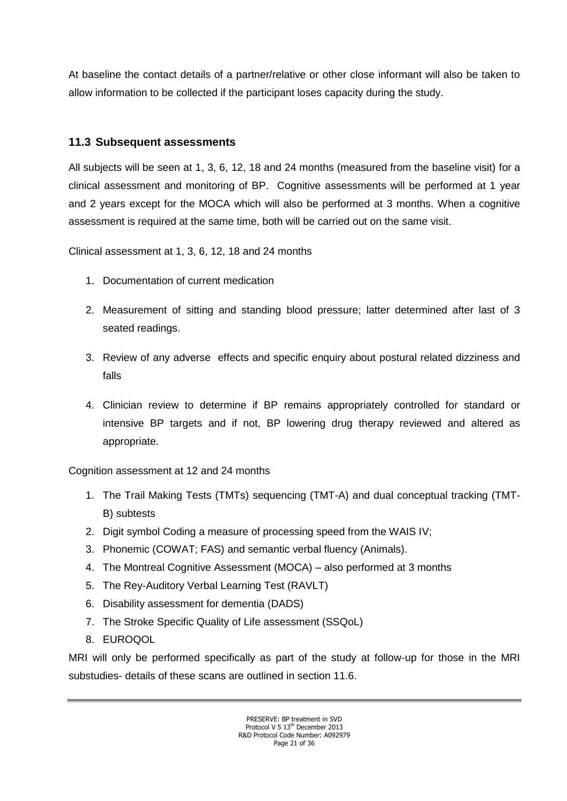At baseline the contact details of a partner/relative or other close informant will also be taken to allow information to be collected if the participant loses capacity during the study.

### <span id="page-20-0"></span>**11.3 Subsequent assessments**

All subjects will be seen at 1, 3, 6, 12, 18 and 24 months (measured from the baseline visit) for a clinical assessment and monitoring of BP. Cognitive assessments will be performed at 1 year and 2 years except for the MOCA which will also be performed at 3 months. When a cognitive assessment is required at the same time, both will be carried out on the same visit.

Clinical assessment at 1, 3, 6, 12, 18 and 24 months

- 1. Documentation of current medication
- 2. Measurement of sitting and standing blood pressure; latter determined after last of 3 seated readings.
- 3. Review of any adverse effects and specific enquiry about postural related dizziness and falls
- 4. Clinician review to determine if BP remains appropriately controlled for standard or intensive BP targets and if not, BP lowering drug therapy reviewed and altered as appropriate.

Cognition assessment at 12 and 24 months

- 1. The Trail Making Tests (TMTs) sequencing (TMT-A) and dual conceptual tracking (TMT-B) subtests
- 2. Digit symbol Coding a measure of processing speed from the WAIS IV;
- 3. Phonemic (COWAT; FAS) and semantic verbal fluency (Animals).
- 4. The Montreal Cognitive Assessment (MOCA) also performed at 3 months
- 5. The Rey-Auditory Verbal Learning Test (RAVLT)
- 6. Disability assessment for dementia (DADS)
- 7. The Stroke Specific Quality of Life assessment (SSQoL)
- 8. EUROQOL

MRI will only be performed specifically as part of the study at follow-up for those in the MRI substudies- details of these scans are outlined in section 11.6.

> PRESERVE: BP treatment in SVD Protocol V 5 13<sup>th</sup> December 2013 R&D Protocol Code Number: A092979 Page 21 of 36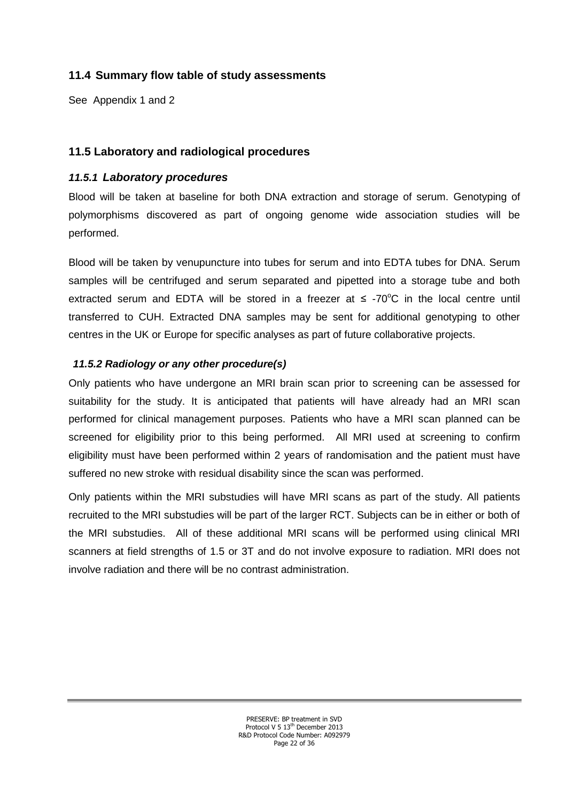## <span id="page-21-0"></span>**11.4 Summary flow table of study assessments**

See Appendix 1 and 2

### **11.5 Laboratory and radiological procedures**

#### *11.5.1 Laboratory procedures*

Blood will be taken at baseline for both DNA extraction and storage of serum. Genotyping of polymorphisms discovered as part of ongoing genome wide association studies will be performed.

Blood will be taken by venupuncture into tubes for serum and into EDTA tubes for DNA. Serum samples will be centrifuged and serum separated and pipetted into a storage tube and both extracted serum and EDTA will be stored in a freezer at  $\leq$  -70°C in the local centre until transferred to CUH. Extracted DNA samples may be sent for additional genotyping to other centres in the UK or Europe for specific analyses as part of future collaborative projects.

#### *11.5.2 Radiology or any other procedure(s)*

Only patients who have undergone an MRI brain scan prior to screening can be assessed for suitability for the study. It is anticipated that patients will have already had an MRI scan performed for clinical management purposes. Patients who have a MRI scan planned can be screened for eligibility prior to this being performed. All MRI used at screening to confirm eligibility must have been performed within 2 years of randomisation and the patient must have suffered no new stroke with residual disability since the scan was performed.

Only patients within the MRI substudies will have MRI scans as part of the study. All patients recruited to the MRI substudies will be part of the larger RCT. Subjects can be in either or both of the MRI substudies. All of these additional MRI scans will be performed using clinical MRI scanners at field strengths of 1.5 or 3T and do not involve exposure to radiation. MRI does not involve radiation and there will be no contrast administration.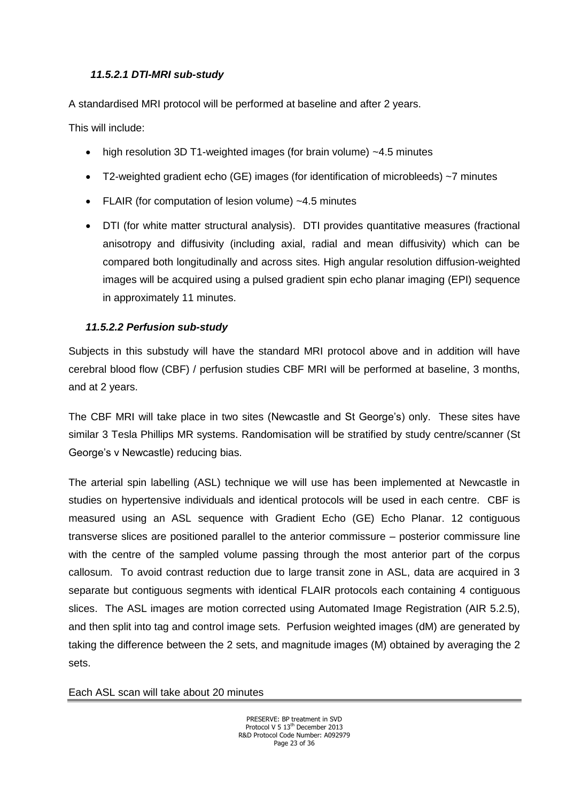## *11.5.2.1 DTI-MRI sub-study*

A standardised MRI protocol will be performed at baseline and after 2 years.

This will include:

- high resolution 3D T1-weighted images (for brain volume) ~4.5 minutes
- T2-weighted gradient echo (GE) images (for identification of microbleeds) ~7 minutes
- FLAIR (for computation of lesion volume) ~4.5 minutes
- DTI (for white matter structural analysis). DTI provides quantitative measures (fractional anisotropy and diffusivity (including axial, radial and mean diffusivity) which can be compared both longitudinally and across sites. High angular resolution diffusion-weighted images will be acquired using a pulsed gradient spin echo planar imaging (EPI) sequence in approximately 11 minutes.

## *11.5.2.2 Perfusion sub-study*

Subjects in this substudy will have the standard MRI protocol above and in addition will have cerebral blood flow (CBF) / perfusion studies CBF MRI will be performed at baseline, 3 months, and at 2 years.

The CBF MRI will take place in two sites (Newcastle and St George's) only. These sites have similar 3 Tesla Phillips MR systems. Randomisation will be stratified by study centre/scanner (St George's v Newcastle) reducing bias.

The arterial spin labelling (ASL) technique we will use has been implemented at Newcastle in studies on hypertensive individuals and identical protocols will be used in each centre. CBF is measured using an ASL sequence with Gradient Echo (GE) Echo Planar. 12 contiguous transverse slices are positioned parallel to the anterior commissure – posterior commissure line with the centre of the sampled volume passing through the most anterior part of the corpus callosum. To avoid contrast reduction due to large transit zone in ASL, data are acquired in 3 separate but contiguous segments with identical FLAIR protocols each containing 4 contiguous slices. The ASL images are motion corrected using Automated Image Registration (AIR 5.2.5), and then split into tag and control image sets. Perfusion weighted images (dM) are generated by taking the difference between the 2 sets, and magnitude images (M) obtained by averaging the 2 sets.

Each ASL scan will take about 20 minutes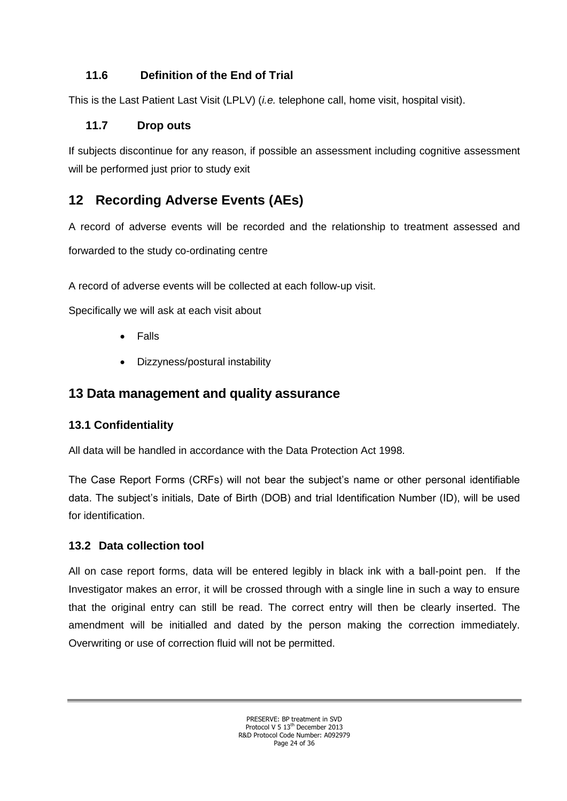# **11.6 Definition of the End of Trial**

This is the Last Patient Last Visit (LPLV) (*i.e.* telephone call, home visit, hospital visit).

# **11.7 Drop outs**

If subjects discontinue for any reason, if possible an assessment including cognitive assessment will be performed just prior to study exit

# **12 Recording Adverse Events (AEs)**

A record of adverse events will be recorded and the relationship to treatment assessed and forwarded to the study co-ordinating centre

A record of adverse events will be collected at each follow-up visit.

Specifically we will ask at each visit about

- Falls
- Dizzyness/postural instability

# <span id="page-23-0"></span>**13 Data management and quality assurance**

# <span id="page-23-1"></span>**13.1 Confidentiality**

All data will be handled in accordance with the Data Protection Act 1998.

The Case Report Forms (CRFs) will not bear the subject's name or other personal identifiable data. The subject's initials, Date of Birth (DOB) and trial Identification Number (ID), will be used for identification.

# <span id="page-23-2"></span>**13.2 Data collection tool**

All on case report forms, data will be entered legibly in black ink with a ball-point pen. If the Investigator makes an error, it will be crossed through with a single line in such a way to ensure that the original entry can still be read. The correct entry will then be clearly inserted. The amendment will be initialled and dated by the person making the correction immediately. Overwriting or use of correction fluid will not be permitted.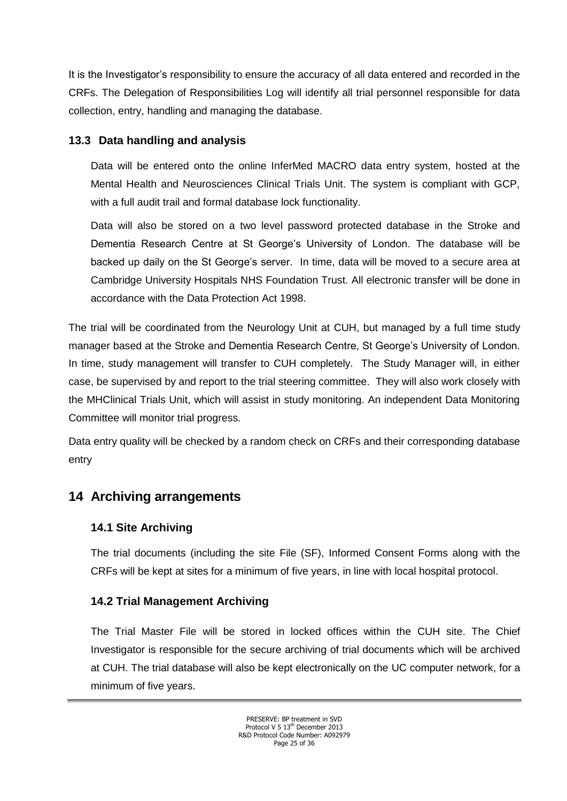It is the Investigator's responsibility to ensure the accuracy of all data entered and recorded in the CRFs. The Delegation of Responsibilities Log will identify all trial personnel responsible for data collection, entry, handling and managing the database.

## <span id="page-24-0"></span>**13.3 Data handling and analysis**

Data will be entered onto the online InferMed MACRO data entry system, hosted at the Mental Health and Neurosciences Clinical Trials Unit. The system is compliant with GCP, with a full audit trail and formal database lock functionality.

Data will also be stored on a two level password protected database in the Stroke and Dementia Research Centre at St George's University of London. The database will be backed up daily on the St George's server. In time, data will be moved to a secure area at Cambridge University Hospitals NHS Foundation Trust. All electronic transfer will be done in accordance with the Data Protection Act 1998.

The trial will be coordinated from the Neurology Unit at CUH, but managed by a full time study manager based at the Stroke and Dementia Research Centre, St George's University of London. In time, study management will transfer to CUH completely. The Study Manager will, in either case, be supervised by and report to the trial steering committee. They will also work closely with the MHClinical Trials Unit, which will assist in study monitoring. An independent Data Monitoring Committee will monitor trial progress.

Data entry quality will be checked by a random check on CRFs and their corresponding database entry

# <span id="page-24-1"></span>**14 Archiving arrangements**

## **14.1 Site Archiving**

The trial documents (including the site File (SF), Informed Consent Forms along with the CRFs will be kept at sites for a minimum of five years, in line with local hospital protocol.

## **14.2 Trial Management Archiving**

The Trial Master File will be stored in locked offices within the CUH site. The Chief Investigator is responsible for the secure archiving of trial documents which will be archived at CUH. The trial database will also be kept electronically on the UC computer network, for a minimum of five years.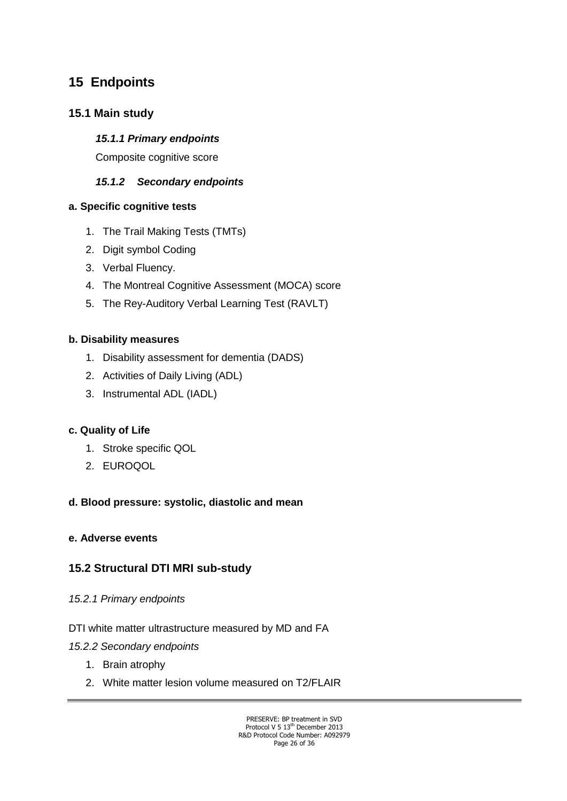# **15 Endpoints**

## **15.1 Main study**

### *15.1.1 Primary endpoints*

Composite cognitive score

## *15.1.2 Secondary endpoints*

### **a. Specific cognitive tests**

- 1. The Trail Making Tests (TMTs)
- 2. Digit symbol Coding
- 3. Verbal Fluency.
- 4. The Montreal Cognitive Assessment (MOCA) score
- 5. The Rey-Auditory Verbal Learning Test (RAVLT)

## **b. Disability measures**

- 1. Disability assessment for dementia (DADS)
- 2. Activities of Daily Living (ADL)
- 3. Instrumental ADL (IADL)

## **c. Quality of Life**

- 1. Stroke specific QOL
- 2. EUROQOL

## **d. Blood pressure: systolic, diastolic and mean**

## **e. Adverse events**

## **15.2 Structural DTI MRI sub-study**

- *15.2.1 Primary endpoints*
- DTI white matter ultrastructure measured by MD and FA
- *15.2.2 Secondary endpoints*
	- 1. Brain atrophy
	- 2. White matter lesion volume measured on T2/FLAIR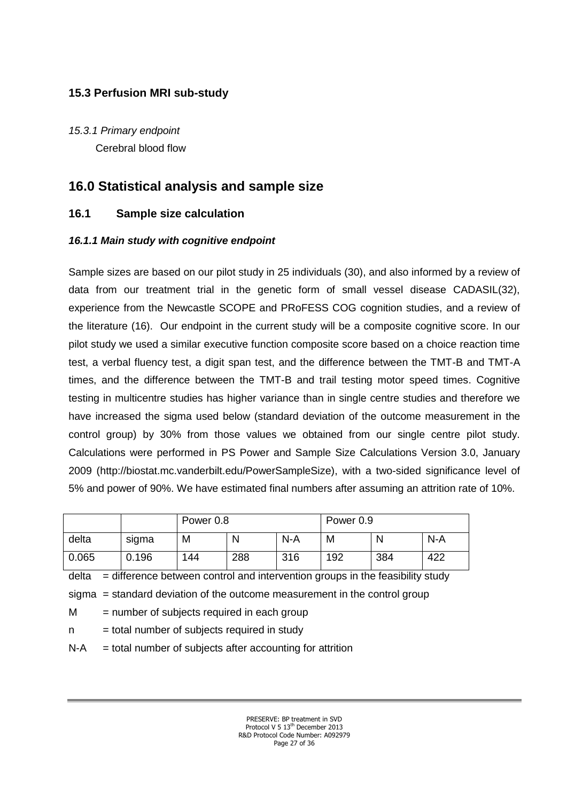## **15.3 Perfusion MRI sub-study**

*15.3.1 Primary endpoint*  Cerebral blood flow

# **16.0 Statistical analysis and sample size**

## **16.1 Sample size calculation**

### *16.1.1 Main study with cognitive endpoint*

Sample sizes are based on our pilot study in 25 individuals (30), and also informed by a review of data from our treatment trial in the genetic form of small vessel disease CADASIL(32), experience from the Newcastle SCOPE and PRoFESS COG cognition studies, and a review of the literature (16). Our endpoint in the current study will be a composite cognitive score. In our pilot study we used a similar executive function composite score based on a choice reaction time test, a verbal fluency test, a digit span test, and the difference between the TMT-B and TMT-A times, and the difference between the TMT-B and trail testing motor speed times. Cognitive testing in multicentre studies has higher variance than in single centre studies and therefore we have increased the sigma used below (standard deviation of the outcome measurement in the control group) by 30% from those values we obtained from our single centre pilot study. Calculations were performed in PS Power and Sample Size Calculations Version 3.0, January 2009 (http://biostat.mc.vanderbilt.edu/PowerSampleSize), with a two-sided significance level of 5% and power of 90%. We have estimated final numbers after assuming an attrition rate of 10%.

|       |       | Power 0.8 |     |       | Power 0.9 |     |     |
|-------|-------|-----------|-----|-------|-----------|-----|-----|
| delta | sigma | M         |     | $N-A$ | M         | N   | N-A |
| 0.065 | 0.196 | 144       | 288 | 316   | 192       | 384 | 422 |

 $delta =$  difference between control and intervention groups in the feasibility study

sigma = standard deviation of the outcome measurement in the control group

 $M =$  number of subjects required in each group

 $n =$  total number of subjects required in study

 $N-A$  = total number of subjects after accounting for attrition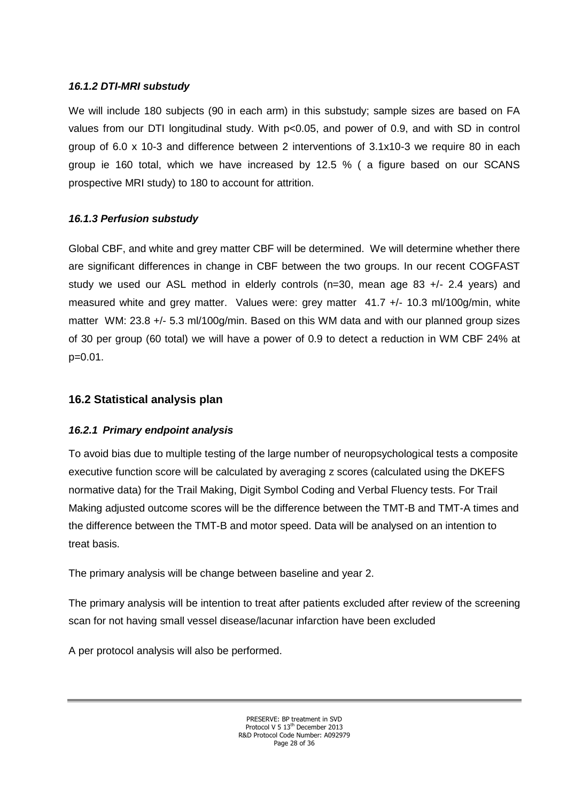#### *16.1.2 DTI-MRI substudy*

We will include 180 subjects (90 in each arm) in this substudy; sample sizes are based on FA values from our DTI longitudinal study. With p<0.05, and power of 0.9, and with SD in control group of 6.0 x 10-3 and difference between 2 interventions of 3.1x10-3 we require 80 in each group ie 160 total, which we have increased by 12.5 % ( a figure based on our SCANS prospective MRI study) to 180 to account for attrition.

## *16.1.3 Perfusion substudy*

Global CBF, and white and grey matter CBF will be determined. We will determine whether there are significant differences in change in CBF between the two groups. In our recent COGFAST study we used our ASL method in elderly controls (n=30, mean age 83 +/- 2.4 years) and measured white and grey matter. Values were: grey matter 41.7 +/- 10.3 ml/100g/min, white matter WM: 23.8 +/- 5.3 ml/100g/min. Based on this WM data and with our planned group sizes of 30 per group (60 total) we will have a power of 0.9 to detect a reduction in WM CBF 24% at p=0.01.

## <span id="page-27-0"></span>**16.2 Statistical analysis plan**

## <span id="page-27-1"></span>*16.2.1 Primary endpoint analysis*

To avoid bias due to multiple testing of the large number of neuropsychological tests a composite executive function score will be calculated by averaging z scores (calculated using the DKEFS normative data) for the Trail Making, Digit Symbol Coding and Verbal Fluency tests. For Trail Making adjusted outcome scores will be the difference between the TMT-B and TMT-A times and the difference between the TMT-B and motor speed. Data will be analysed on an intention to treat basis.

The primary analysis will be change between baseline and year 2.

The primary analysis will be intention to treat after patients excluded after review of the screening scan for not having small vessel disease/lacunar infarction have been excluded

A per protocol analysis will also be performed.

PRESERVE: BP treatment in SVD Protocol V 5 13<sup>th</sup> December 2013 R&D Protocol Code Number: A092979 Page 28 of 36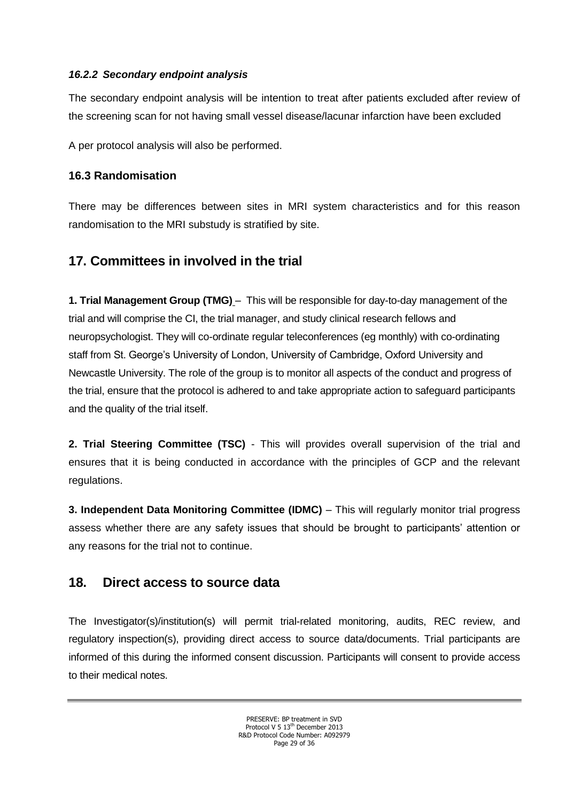#### <span id="page-28-0"></span>*16.2.2 Secondary endpoint analysis*

The secondary endpoint analysis will be intention to treat after patients excluded after review of the screening scan for not having small vessel disease/lacunar infarction have been excluded

A per protocol analysis will also be performed.

## **16.3 Randomisation**

There may be differences between sites in MRI system characteristics and for this reason randomisation to the MRI substudy is stratified by site.

# <span id="page-28-1"></span>**17. Committees in involved in the trial**

**1. Trial Management Group (TMG)** – This will be responsible for day-to-day management of the trial and will comprise the CI, the trial manager, and study clinical research fellows and neuropsychologist. They will co-ordinate regular teleconferences (eg monthly) with co-ordinating staff from St. George's University of London, University of Cambridge, Oxford University and Newcastle University. The role of the group is to monitor all aspects of the conduct and progress of the trial, ensure that the protocol is adhered to and take appropriate action to safeguard participants and the quality of the trial itself.

**2. Trial Steering Committee (TSC)** - This will provides overall supervision of the trial and ensures that it is being conducted in accordance with the principles of GCP and the relevant regulations.

**3. Independent Data Monitoring Committee (IDMC)** – This will regularly monitor trial progress assess whether there are any safety issues that should be brought to participants' attention or any reasons for the trial not to continue.

# <span id="page-28-3"></span><span id="page-28-2"></span>**18. Direct access to source data**

The Investigator(s)/institution(s) will permit trial-related monitoring, audits, REC review, and regulatory inspection(s), providing direct access to source data/documents. Trial participants are informed of this during the informed consent discussion. Participants will consent to provide access to their medical notes.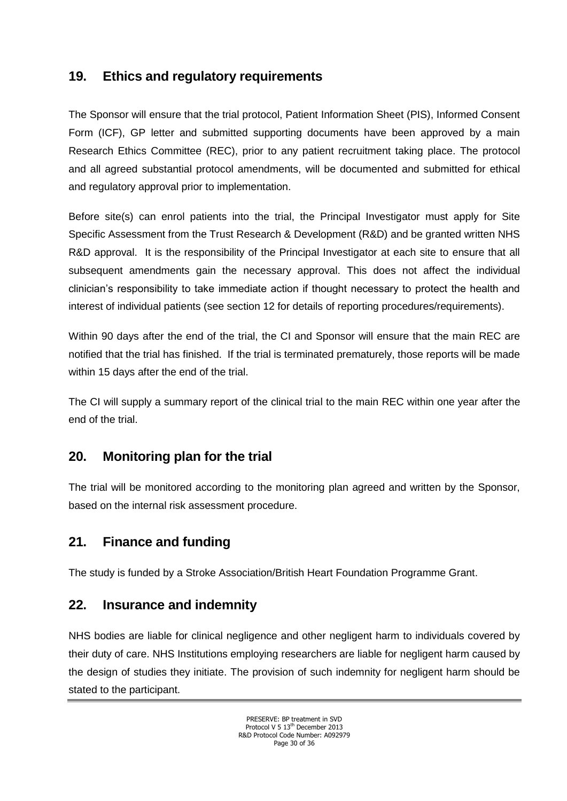# **19. Ethics and regulatory requirements**

The Sponsor will ensure that the trial protocol, Patient Information Sheet (PIS), Informed Consent Form (ICF), GP letter and submitted supporting documents have been approved by a main Research Ethics Committee (REC), prior to any patient recruitment taking place. The protocol and all agreed substantial protocol amendments, will be documented and submitted for ethical and regulatory approval prior to implementation.

Before site(s) can enrol patients into the trial, the Principal Investigator must apply for Site Specific Assessment from the Trust Research & Development (R&D) and be granted written NHS R&D approval. It is the responsibility of the Principal Investigator at each site to ensure that all subsequent amendments gain the necessary approval. This does not affect the individual clinician's responsibility to take immediate action if thought necessary to protect the health and interest of individual patients (see section 12 for details of reporting procedures/requirements).

Within 90 days after the end of the trial, the CI and Sponsor will ensure that the main REC are notified that the trial has finished. If the trial is terminated prematurely, those reports will be made within 15 days after the end of the trial.

The CI will supply a summary report of the clinical trial to the main REC within one year after the end of the trial.

# <span id="page-29-0"></span>**20. Monitoring plan for the trial**

The trial will be monitored according to the monitoring plan agreed and written by the Sponsor, based on the internal risk assessment procedure.

# <span id="page-29-1"></span>**21. Finance and funding**

The study is funded by a Stroke Association/British Heart Foundation Programme Grant.

# <span id="page-29-2"></span>**22. Insurance and indemnity**

NHS bodies are liable for clinical negligence and other negligent harm to individuals covered by their duty of care. NHS Institutions employing researchers are liable for negligent harm caused by the design of studies they initiate. The provision of such indemnity for negligent harm should be stated to the participant.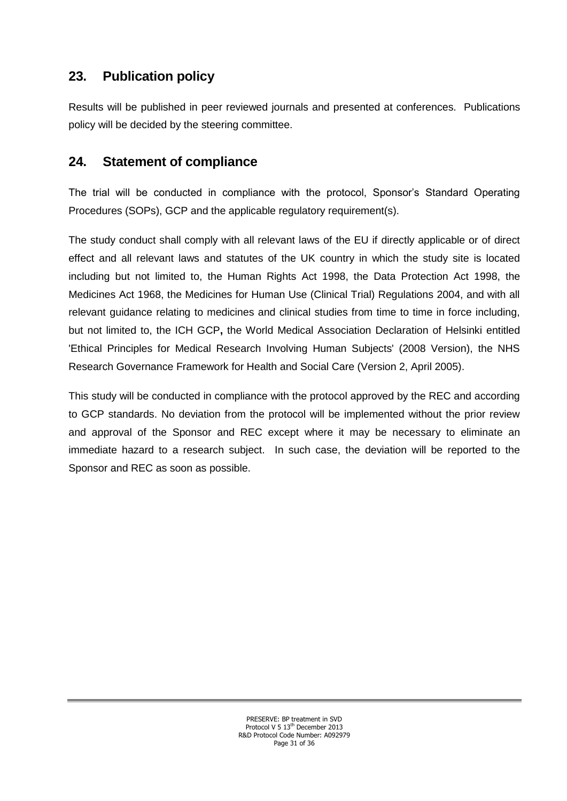# <span id="page-30-0"></span>**23. Publication policy**

Results will be published in peer reviewed journals and presented at conferences. Publications policy will be decided by the steering committee.

# <span id="page-30-1"></span>**24. Statement of compliance**

The trial will be conducted in compliance with the protocol, Sponsor's Standard Operating Procedures (SOPs), GCP and the applicable regulatory requirement(s).

The study conduct shall comply with all relevant laws of the EU if directly applicable or of direct effect and all relevant laws and statutes of the UK country in which the study site is located including but not limited to, the Human Rights Act 1998, the Data Protection Act 1998, the Medicines Act 1968, the Medicines for Human Use (Clinical Trial) Regulations 2004, and with all relevant guidance relating to medicines and clinical studies from time to time in force including, but not limited to, the ICH GCP**,** the World Medical Association Declaration of Helsinki entitled 'Ethical Principles for Medical Research Involving Human Subjects' (2008 Version), the NHS Research Governance Framework for Health and Social Care (Version 2, April 2005).

This study will be conducted in compliance with the protocol approved by the REC and according to GCP standards. No deviation from the protocol will be implemented without the prior review and approval of the Sponsor and REC except where it may be necessary to eliminate an immediate hazard to a research subject. In such case, the deviation will be reported to the Sponsor and REC as soon as possible.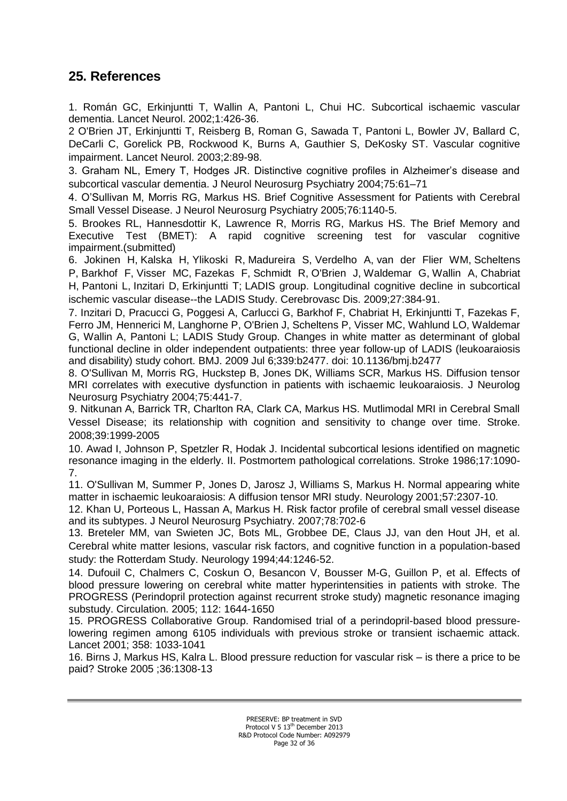## **25. References**

1. Román GC, Erkinjuntti T, Wallin A, Pantoni L, Chui HC. [Subcortical ischaemic vascular](http://www.ncbi.nlm.nih.gov/pubmed/12849365)  [dementia.](http://www.ncbi.nlm.nih.gov/pubmed/12849365) Lancet Neurol. 2002;1:426-36.

2 O'Brien JT, Erkinjuntti T, Reisberg B, Roman G, Sawada T, Pantoni L, Bowler JV, Ballard C, DeCarli C, Gorelick PB, Rockwood K, Burns A, Gauthier S, DeKosky ST. Vascular cognitive impairment. Lancet Neurol. 2003;2:89-98.

3. Graham NL, Emery T, Hodges JR. Distinctive cognitive profiles in Alzheimer's disease and subcortical vascular dementia. J Neurol Neurosurg Psychiatry 2004;75:61-71

4. O'Sullivan M, Morris RG, Markus HS. Brief Cognitive Assessment for Patients with Cerebral Small Vessel Disease. J Neurol Neurosurg Psychiatry 2005;76:1140-5.

5. Brookes RL, Hannesdottir K, Lawrence R, Morris RG, Markus HS. The Brief Memory and Executive Test (BMET): A rapid cognitive screening test for vascular cognitive impairment.(submitted)

6. [Jokinen H,](http://www.ncbi.nlm.nih.gov/pubmed?term=%22Jokinen%20H%22%5BAuthor%5D) [Kalska H,](http://www.ncbi.nlm.nih.gov/pubmed?term=%22Kalska%20H%22%5BAuthor%5D) [Ylikoski R,](http://www.ncbi.nlm.nih.gov/pubmed?term=%22Ylikoski%20R%22%5BAuthor%5D) [Madureira S,](http://www.ncbi.nlm.nih.gov/pubmed?term=%22Madureira%20S%22%5BAuthor%5D) [Verdelho A,](http://www.ncbi.nlm.nih.gov/pubmed?term=%22Verdelho%20A%22%5BAuthor%5D) [van der Flier WM,](http://www.ncbi.nlm.nih.gov/pubmed?term=%22van%20der%20Flier%20WM%22%5BAuthor%5D) [Scheltens](http://www.ncbi.nlm.nih.gov/pubmed?term=%22Scheltens%20P%22%5BAuthor%5D)  [P,](http://www.ncbi.nlm.nih.gov/pubmed?term=%22Scheltens%20P%22%5BAuthor%5D) [Barkhof F,](http://www.ncbi.nlm.nih.gov/pubmed?term=%22Barkhof%20F%22%5BAuthor%5D) [Visser MC,](http://www.ncbi.nlm.nih.gov/pubmed?term=%22Visser%20MC%22%5BAuthor%5D) [Fazekas F,](http://www.ncbi.nlm.nih.gov/pubmed?term=%22Fazekas%20F%22%5BAuthor%5D) [Schmidt R,](http://www.ncbi.nlm.nih.gov/pubmed?term=%22Schmidt%20R%22%5BAuthor%5D) [O'Brien J,](http://www.ncbi.nlm.nih.gov/pubmed?term=%22O) [Waldemar G,](http://www.ncbi.nlm.nih.gov/pubmed?term=%22Waldemar%20G%22%5BAuthor%5D) [Wallin A,](http://www.ncbi.nlm.nih.gov/pubmed?term=%22Wallin%20A%22%5BAuthor%5D) [Chabriat](http://www.ncbi.nlm.nih.gov/pubmed?term=%22Chabriat%20H%22%5BAuthor%5D)  [H,](http://www.ncbi.nlm.nih.gov/pubmed?term=%22Chabriat%20H%22%5BAuthor%5D) [Pantoni L,](http://www.ncbi.nlm.nih.gov/pubmed?term=%22Pantoni%20L%22%5BAuthor%5D) [Inzitari D,](http://www.ncbi.nlm.nih.gov/pubmed?term=%22Inzitari%20D%22%5BAuthor%5D) [Erkinjuntti T;](http://www.ncbi.nlm.nih.gov/pubmed?term=%22Erkinjuntti%20T%22%5BAuthor%5D) [LADIS group.](http://www.ncbi.nlm.nih.gov/pubmed?term=%22LADIS%20group%22%5BCorporate%20Author%5D) Longitudinal cognitive decline in subcortical ischemic vascular disease--the LADIS Study. [Cerebrovasc Dis.](javascript:AL_get(this,%20) 2009;27:384-91.

7. Inzitari D, Pracucci G, Poggesi A, Carlucci G, Barkhof F, Chabriat H, Erkinjuntti T, Fazekas F, Ferro JM, Hennerici M, Langhorne P, O'Brien J, Scheltens P, Visser MC, Wahlund LO, Waldemar G, Wallin A, Pantoni L; LADIS Study Group. [Changes in white matter as determinant of global](http://www.ncbi.nlm.nih.gov/pubmed/19581317)  [functional decline in older independent outpatients: three year follow-up of LADIS \(leukoaraiosis](http://www.ncbi.nlm.nih.gov/pubmed/19581317)  [and disability\) study cohort.](http://www.ncbi.nlm.nih.gov/pubmed/19581317) BMJ. 2009 Jul 6;339:b2477. doi: 10.1136/bmj.b2477

8. O'Sullivan M, Morris RG, Huckstep B, Jones DK, Williams SCR, Markus HS. Diffusion tensor MRI correlates with executive dysfunction in patients with ischaemic leukoaraiosis. J Neurolog Neurosurg Psychiatry 2004;75:441-7.

9. Nitkunan A, Barrick TR, Charlton RA, Clark CA, Markus HS. Mutlimodal MRI in Cerebral Small Vessel Disease; its relationship with cognition and sensitivity to change over time. Stroke. 2008;39:1999-2005

10. Awad I, Johnson P, Spetzler R, Hodak J. Incidental subcortical lesions identified on magnetic resonance imaging in the elderly. II. Postmortem pathological correlations. Stroke 1986;17:1090- 7.

11. O'Sullivan M, Summer P, Jones D, Jarosz J, Williams S, Markus H. Normal appearing white matter in ischaemic leukoaraiosis: A diffusion tensor MRI study. Neurology 2001;57:2307-10.

12. [Khan U, Porteous L, Hassan A, Markus H.](http://www.ncbi.nlm.nih.gov/entrez/query.fcgi?db=pubmed&cmd=Retrieve&dopt=AbstractPlus&list_uids=17210627&query_hl=2&itool=pubmed_docsum) Risk factor profile of cerebral small vessel disease and its subtypes. J Neurol Neurosurg Psychiatry. 2007;78:702-6

13. Breteler MM, van Swieten JC, Bots ML, Grobbee DE, Claus JJ, van den Hout JH, et al. Cerebral white matter lesions, vascular risk factors, and cognitive function in a population-based study: the Rotterdam Study. Neurology 1994;44:1246-52.

14. Dufouil C, Chalmers C, Coskun O, Besancon V, Bousser M-G, Guillon P, et al. Effects of blood pressure lowering on cerebral white matter hyperintensities in patients with stroke. The PROGRESS (Perindopril protection against recurrent stroke study) magnetic resonance imaging substudy. Circulation. 2005; 112: 1644-1650

15. PROGRESS Collaborative Group. Randomised trial of a perindopril-based blood pressurelowering regimen among 6105 individuals with previous stroke or transient ischaemic attack. Lancet 2001; 358: 1033-1041

16. Birns J, Markus HS, Kalra L. Blood pressure reduction for vascular risk – is there a price to be paid? Stroke 2005 ;36:1308-13

> PRESERVE: BP treatment in SVD Protocol V 5 13<sup>th</sup> December 2013 R&D Protocol Code Number: A092979 Page 32 of 36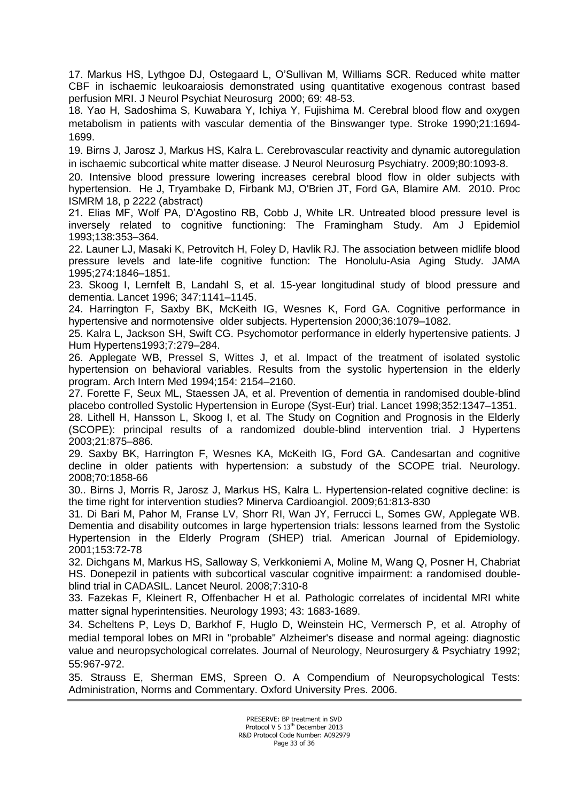17. Markus HS, Lythgoe DJ, Ostegaard L, O'Sullivan M, Williams SCR. Reduced white matter CBF in ischaemic leukoaraiosis demonstrated using quantitative exogenous contrast based perfusion MRI. J Neurol Psychiat Neurosurg 2000; 69: 48-53.

18. Yao H, Sadoshima S, Kuwabara Y, Ichiya Y, Fujishima M. Cerebral blood flow and oxygen metabolism in patients with vascular dementia of the Binswanger type. Stroke 1990;21:1694- 1699.

19. Birns J, Jarosz J, Markus HS, Kalra L. [Cerebrovascular reactivity and dynamic autoregulation](http://www.ncbi.nlm.nih.gov/pubmed/19535355?itool=EntrezSystem2.PEntrez.Pubmed.Pubmed_ResultsPanel.Pubmed_RVDocSum&ordinalpos=14)  [in ischaemic subcortical white matter disease.](http://www.ncbi.nlm.nih.gov/pubmed/19535355?itool=EntrezSystem2.PEntrez.Pubmed.Pubmed_ResultsPanel.Pubmed_RVDocSum&ordinalpos=14) J Neurol Neurosurg Psychiatry. 2009;80:1093-8.

20. Intensive blood pressure lowering increases cerebral blood flow in older subjects with hypertension. He J, Tryambake D, Firbank MJ, O'Brien JT, Ford GA, Blamire AM. 2010. Proc ISMRM 18, p 2222 (abstract)

21. Elias MF, Wolf PA, D'Agostino RB, Cobb J, White LR. Untreated blood pressure level is inversely related to cognitive functioning: The Framingham Study. Am J Epidemiol 1993;138:353–364.

22. Launer LJ, Masaki K, Petrovitch H, Foley D, Havlik RJ. The association between midlife blood pressure levels and late-life cognitive function: The Honolulu-Asia Aging Study. JAMA 1995;274:1846–1851.

23. Skoog I, Lernfelt B, Landahl S, et al. 15-year longitudinal study of blood pressure and dementia. Lancet 1996; 347:1141–1145.

24. Harrington F, Saxby BK, McKeith IG, Wesnes K, Ford GA. Cognitive performance in hypertensive and normotensive older subjects. Hypertension 2000;36:1079–1082.

25. Kalra L, Jackson SH, Swift CG. Psychomotor performance in elderly hypertensive patients. J Hum Hypertens1993;7:279–284.

26. Applegate WB, Pressel S, Wittes J, et al. Impact of the treatment of isolated systolic hypertension on behavioral variables. Results from the systolic hypertension in the elderly program. Arch Intern Med 1994;154: 2154–2160.

27. Forette F, Seux ML, Staessen JA, et al. Prevention of dementia in randomised double-blind placebo controlled Systolic Hypertension in Europe (Syst-Eur) trial. Lancet 1998;352:1347–1351.

28. Lithell H, Hansson L, Skoog I, et al. The Study on Cognition and Prognosis in the Elderly (SCOPE): principal results of a randomized double-blind intervention trial. J Hypertens 2003;21:875–886.

29. Saxby BK, Harrington F, Wesnes KA, McKeith IG, Ford GA. [Candesartan and cognitive](http://www.ncbi.nlm.nih.gov/pubmed/18458219)  [decline in older patients with hypertension: a substudy of the SCOPE trial.](http://www.ncbi.nlm.nih.gov/pubmed/18458219) Neurology. 2008;70:1858-66

30.. Birns J, Morris R, Jarosz J, Markus HS, Kalra L. [Hypertension-related cognitive decline: is](http://www.ncbi.nlm.nih.gov/pubmed/19942849?itool=EntrezSystem2.PEntrez.Pubmed.Pubmed_ResultsPanel.Pubmed_RVDocSum&ordinalpos=1)  [the time right for intervention studies?](http://www.ncbi.nlm.nih.gov/pubmed/19942849?itool=EntrezSystem2.PEntrez.Pubmed.Pubmed_ResultsPanel.Pubmed_RVDocSum&ordinalpos=1) Minerva Cardioangiol. 2009;61:813-830

31. Di Bari M, Pahor M, Franse LV, Shorr RI, Wan JY, Ferrucci L, Somes GW, Applegate WB. Dementia and disability outcomes in large hypertension trials: lessons learned from the Systolic Hypertension in the Elderly Program (SHEP) trial. American Journal of Epidemiology. 2001;153:72-78

32. [Dichgans M, Markus HS, Salloway S, Verkkoniemi A, Moline M, Wang Q, Posner H, Chabriat](http://www.ncbi.nlm.nih.gov/pubmed/18296124?ordinalpos=3&itool=EntrezSystem2.PEntrez.Pubmed.Pubmed_ResultsPanel.Pubmed_RVDocSum)  [HS.](http://www.ncbi.nlm.nih.gov/pubmed/18296124?ordinalpos=3&itool=EntrezSystem2.PEntrez.Pubmed.Pubmed_ResultsPanel.Pubmed_RVDocSum) Donepezil in patients with subcortical vascular cognitive impairment: a randomised doubleblind trial in CADASIL. Lancet Neurol. 2008;7:310-8

33. Fazekas F, Kleinert R, Offenbacher H et al. Pathologic correlates of incidental MRI white matter signal hyperintensities. Neurology 1993; 43: 1683-1689.

34. Scheltens P, Leys D, Barkhof F, Huglo D, Weinstein HC, Vermersch P, et al. Atrophy of medial temporal lobes on MRI in "probable" Alzheimer's disease and normal ageing: diagnostic value and neuropsychological correlates. Journal of Neurology, Neurosurgery & Psychiatry 1992; 55:967-972.

35. Strauss E, Sherman EMS, Spreen O. A Compendium of Neuropsychological Tests: Administration, Norms and Commentary. Oxford University Pres. 2006.

> PRESERVE: BP treatment in SVD Protocol V 5 13<sup>th</sup> December 2013 R&D Protocol Code Number: A092979 Page 33 of 36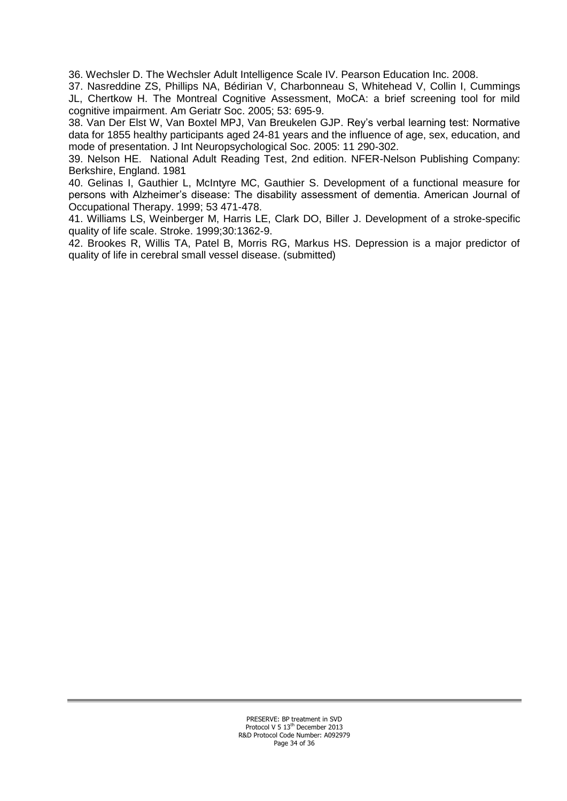36. Wechsler D. The Wechsler Adult Intelligence Scale IV. Pearson Education Inc. 2008.

37. [Nasreddine ZS,](http://www.ncbi.nlm.nih.gov/pubmed?term=%22Nasreddine%20ZS%22%5BAuthor%5D) [Phillips NA,](http://www.ncbi.nlm.nih.gov/pubmed?term=%22Phillips%20NA%22%5BAuthor%5D) [Bédirian V,](http://www.ncbi.nlm.nih.gov/pubmed?term=%22B%C3%A9dirian%20V%22%5BAuthor%5D) [Charbonneau S,](http://www.ncbi.nlm.nih.gov/pubmed?term=%22Charbonneau%20S%22%5BAuthor%5D) [Whitehead V,](http://www.ncbi.nlm.nih.gov/pubmed?term=%22Whitehead%20V%22%5BAuthor%5D) [Collin I,](http://www.ncbi.nlm.nih.gov/pubmed?term=%22Collin%20I%22%5BAuthor%5D) [Cummings](http://www.ncbi.nlm.nih.gov/pubmed?term=%22Cummings%20JL%22%5BAuthor%5D)  [JL,](http://www.ncbi.nlm.nih.gov/pubmed?term=%22Cummings%20JL%22%5BAuthor%5D) [Chertkow H.](http://www.ncbi.nlm.nih.gov/pubmed?term=%22Chertkow%20H%22%5BAuthor%5D) The Montreal Cognitive Assessment, MoCA: a brief screening tool for mild cognitive impairment. [Am Geriatr Soc.](javascript:AL_get(this,%20) 2005; 53: 695-9.

38. Van Der Elst W, Van Boxtel MPJ, Van Breukelen GJP. Rey's verbal learning test: Normative data for 1855 healthy participants aged 24-81 years and the influence of age, sex, education, and mode of presentation. J Int Neuropsychological Soc. 2005: 11 290-302.

39. Nelson HE. National Adult Reading Test, 2nd edition. NFER-Nelson Publishing Company: Berkshire, England. 1981

40. Gelinas I, Gauthier L, McIntyre MC, Gauthier S. Development of a functional measure for persons with Alzheimer's disease: The disability assessment of dementia. American Journal of Occupational Therapy. 1999; 53 471-478.

41. Williams LS, Weinberger M, Harris LE, Clark DO, Biller J. Development of a stroke-specific quality of life scale. Stroke. 1999;30:1362-9.

42. Brookes R, Willis TA, Patel B, Morris RG, Markus HS. Depression is a major predictor of quality of life in cerebral small vessel disease. (submitted)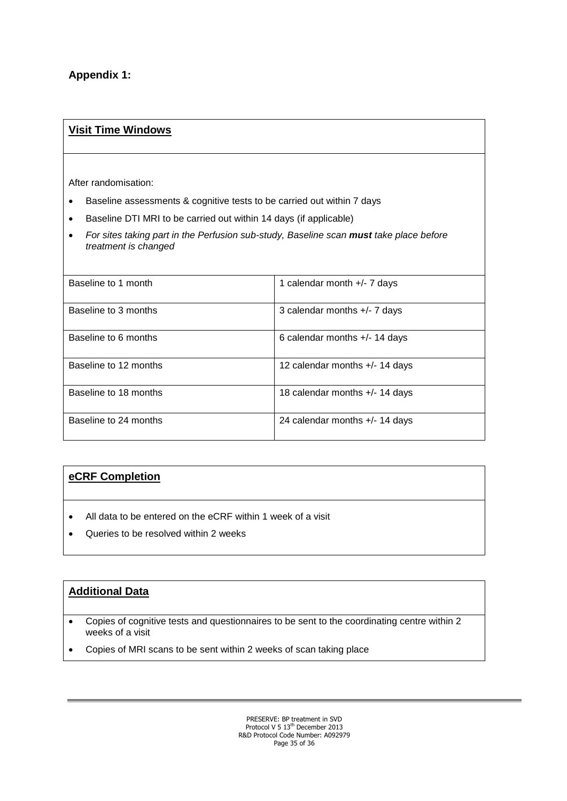### **Appendix 1:**

#### **Visit Time Windows**

After randomisation:

- Baseline assessments & cognitive tests to be carried out within 7 days
- Baseline DTI MRI to be carried out within 14 days (if applicable)
- *For sites taking part in the Perfusion sub-study, Baseline scan must take place before treatment is changed*

| Baseline to 1 month   | 1 calendar month $+/-$ 7 days    |
|-----------------------|----------------------------------|
| Baseline to 3 months  | 3 calendar months $+/- 7$ days   |
| Baseline to 6 months  | 6 calendar months $+/-$ 14 days  |
| Baseline to 12 months | 12 calendar months $+/-$ 14 days |
| Baseline to 18 months | 18 calendar months $+/-$ 14 days |
| Baseline to 24 months | 24 calendar months $+/-$ 14 days |

#### **eCRF Completion**

- All data to be entered on the eCRF within 1 week of a visit
- Queries to be resolved within 2 weeks

#### **Additional Data**

- Copies of cognitive tests and questionnaires to be sent to the coordinating centre within 2 weeks of a visit
- Copies of MRI scans to be sent within 2 weeks of scan taking place

PRESERVE: BP treatment in SVD<br>Protocol V 5 13<sup>th</sup> December 2013 R&D Protocol Code Number: A092979 Page 35 of 36